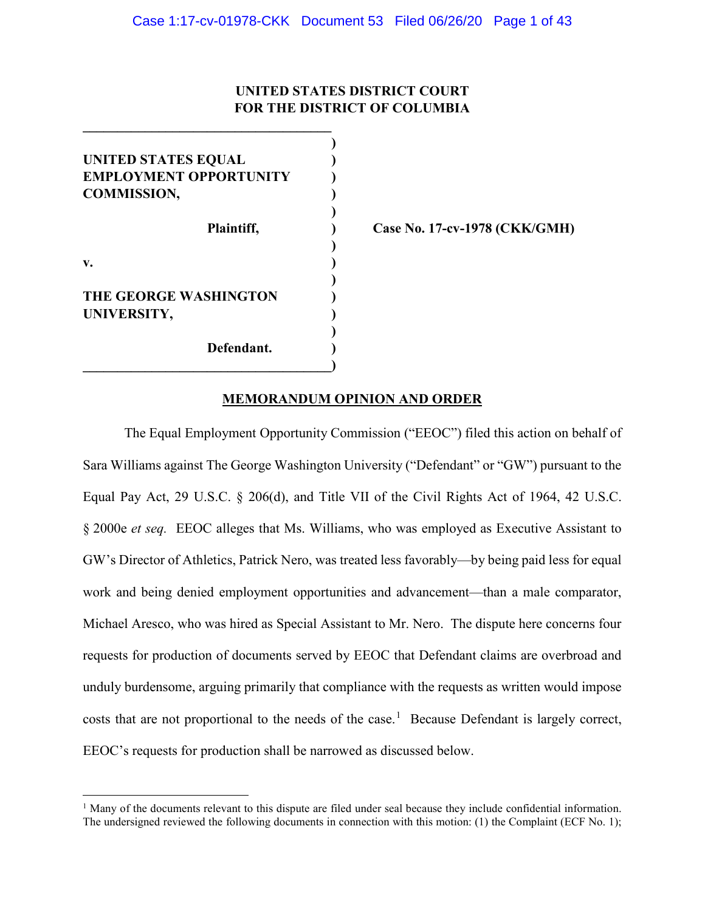# **UNITED STATES DISTRICT COURT FOR THE DISTRICT OF COLUMBIA**

| <b>UNITED STATES EQUAL</b>    |  |
|-------------------------------|--|
| <b>EMPLOYMENT OPPORTUNITY</b> |  |
| <b>COMMISSION,</b>            |  |
|                               |  |
| Plaintiff,                    |  |
|                               |  |
| v.                            |  |
|                               |  |
| THE GEORGE WASHINGTON         |  |
| UNIVERSITY,                   |  |
|                               |  |
| Defendant.                    |  |
|                               |  |

l

**\_\_\_\_\_\_\_\_\_\_\_\_\_\_\_\_\_\_\_\_\_\_\_\_\_\_\_\_\_\_\_\_\_\_\_\_**

**Plaintiff, ) Case No. 17-cv-1978 (CKK/GMH)**

# **MEMORANDUM OPINION AND ORDER**

The Equal Employment Opportunity Commission ("EEOC") filed this action on behalf of Sara Williams against The George Washington University ("Defendant" or "GW") pursuant to the Equal Pay Act, 29 U.S.C. § 206(d), and Title VII of the Civil Rights Act of 1964, 42 U.S.C. § 2000e *et seq.* EEOC alleges that Ms. Williams, who was employed as Executive Assistant to GW's Director of Athletics, Patrick Nero, was treated less favorably—by being paid less for equal work and being denied employment opportunities and advancement—than a male comparator, Michael Aresco, who was hired as Special Assistant to Mr. Nero. The dispute here concerns four requests for production of documents served by EEOC that Defendant claims are overbroad and unduly burdensome, arguing primarily that compliance with the requests as written would impose costs that are not proportional to the needs of the case.<sup>[1](#page-0-0)</sup> Because Defendant is largely correct, EEOC's requests for production shall be narrowed as discussed below.

<span id="page-0-0"></span><sup>&</sup>lt;sup>1</sup> Many of the documents relevant to this dispute are filed under seal because they include confidential information. The undersigned reviewed the following documents in connection with this motion: (1) the Complaint (ECF No. 1);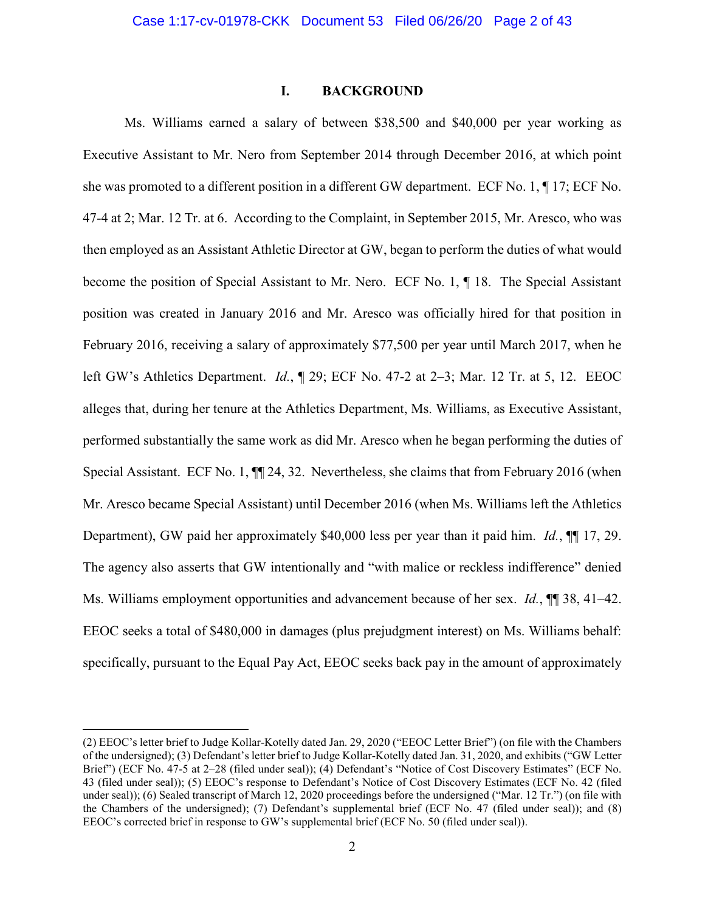#### **I. BACKGROUND**

Ms. Williams earned a salary of between \$38,500 and \$40,000 per year working as Executive Assistant to Mr. Nero from September 2014 through December 2016, at which point she was promoted to a different position in a different GW department. ECF No. 1, ¶ 17; ECF No. 47-4 at 2; Mar. 12 Tr. at 6. According to the Complaint, in September 2015, Mr. Aresco, who was then employed as an Assistant Athletic Director at GW, began to perform the duties of what would become the position of Special Assistant to Mr. Nero. ECF No. 1, ¶ 18. The Special Assistant position was created in January 2016 and Mr. Aresco was officially hired for that position in February 2016, receiving a salary of approximately \$77,500 per year until March 2017, when he left GW's Athletics Department. *Id.*, ¶ 29; ECF No. 47-2 at 2–3; Mar. 12 Tr. at 5, 12. EEOC alleges that, during her tenure at the Athletics Department, Ms. Williams, as Executive Assistant, performed substantially the same work as did Mr. Aresco when he began performing the duties of Special Assistant. ECF No. 1, ¶¶ 24, 32. Nevertheless, she claims that from February 2016 (when Mr. Aresco became Special Assistant) until December 2016 (when Ms. Williams left the Athletics Department), GW paid her approximately \$40,000 less per year than it paid him. *Id.*, ¶¶ 17, 29. The agency also asserts that GW intentionally and "with malice or reckless indifference" denied Ms. Williams employment opportunities and advancement because of her sex. *Id.*, **¶** 38, 41–42. EEOC seeks a total of \$480,000 in damages (plus prejudgment interest) on Ms. Williams behalf: specifically, pursuant to the Equal Pay Act, EEOC seeks back pay in the amount of approximately

<sup>(2)</sup> EEOC's letter brief to Judge Kollar-Kotelly dated Jan. 29, 2020 ("EEOC Letter Brief") (on file with the Chambers of the undersigned); (3) Defendant's letter brief to Judge Kollar-Kotelly dated Jan. 31, 2020, and exhibits ("GW Letter Brief") (ECF No. 47-5 at 2–28 (filed under seal)); (4) Defendant's "Notice of Cost Discovery Estimates" (ECF No. 43 (filed under seal)); (5) EEOC's response to Defendant's Notice of Cost Discovery Estimates (ECF No. 42 (filed under seal)); (6) Sealed transcript of March 12, 2020 proceedings before the undersigned ("Mar. 12 Tr.") (on file with the Chambers of the undersigned); (7) Defendant's supplemental brief (ECF No. 47 (filed under seal)); and (8) EEOC's corrected brief in response to GW's supplemental brief (ECF No. 50 (filed under seal)).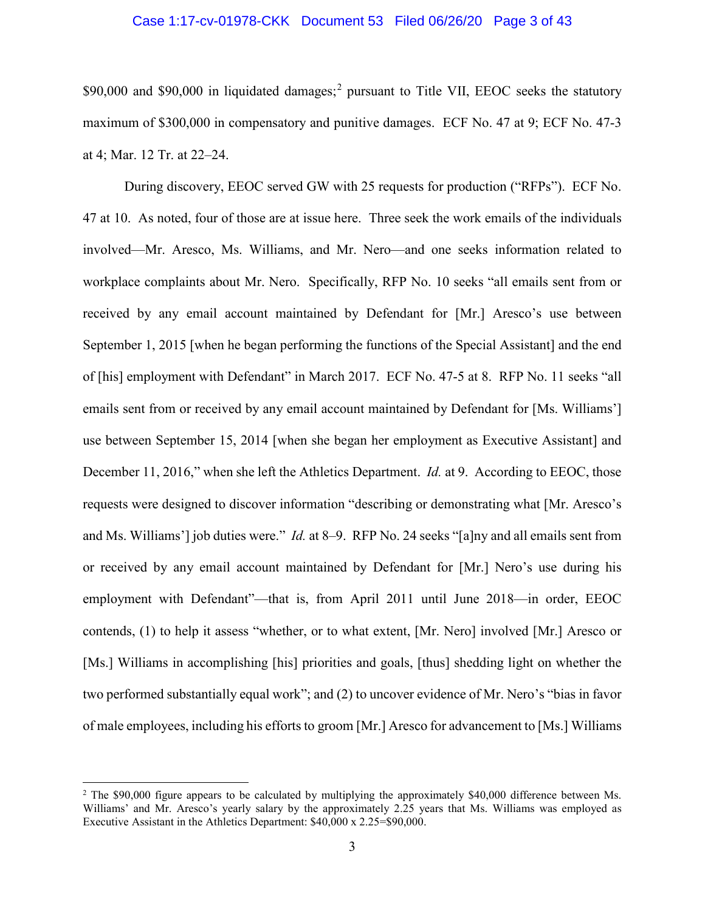#### Case 1:17-cv-01978-CKK Document 53 Filed 06/26/20 Page 3 of 43

\$90,000 and \$90,000 in liquidated damages;<sup>[2](#page-2-0)</sup> pursuant to Title VII, EEOC seeks the statutory maximum of \$300,000 in compensatory and punitive damages. ECF No. 47 at 9; ECF No. 47-3 at 4; Mar. 12 Tr. at 22–24.

During discovery, EEOC served GW with 25 requests for production ("RFPs"). ECF No. 47 at 10. As noted, four of those are at issue here. Three seek the work emails of the individuals involved—Mr. Aresco, Ms. Williams, and Mr. Nero—and one seeks information related to workplace complaints about Mr. Nero. Specifically, RFP No. 10 seeks "all emails sent from or received by any email account maintained by Defendant for [Mr.] Aresco's use between September 1, 2015 [when he began performing the functions of the Special Assistant] and the end of [his] employment with Defendant" in March 2017. ECF No. 47-5 at 8. RFP No. 11 seeks "all emails sent from or received by any email account maintained by Defendant for [Ms. Williams'] use between September 15, 2014 [when she began her employment as Executive Assistant] and December 11, 2016," when she left the Athletics Department. *Id.* at 9. According to EEOC, those requests were designed to discover information "describing or demonstrating what [Mr. Aresco's and Ms. Williams'] job duties were." *Id.* at 8–9. RFP No. 24 seeks "[a]ny and all emails sent from or received by any email account maintained by Defendant for [Mr.] Nero's use during his employment with Defendant"—that is, from April 2011 until June 2018—in order, EEOC contends, (1) to help it assess "whether, or to what extent, [Mr. Nero] involved [Mr.] Aresco or [Ms.] Williams in accomplishing [his] priorities and goals, [thus] shedding light on whether the two performed substantially equal work"; and (2) to uncover evidence of Mr. Nero's "bias in favor of male employees, including his efforts to groom [Mr.] Aresco for advancement to [Ms.] Williams

<span id="page-2-0"></span><sup>&</sup>lt;sup>2</sup> The \$90,000 figure appears to be calculated by multiplying the approximately \$40,000 difference between Ms. Williams' and Mr. Aresco's yearly salary by the approximately 2.25 years that Ms. Williams was employed as Executive Assistant in the Athletics Department: \$40,000 x 2.25=\$90,000.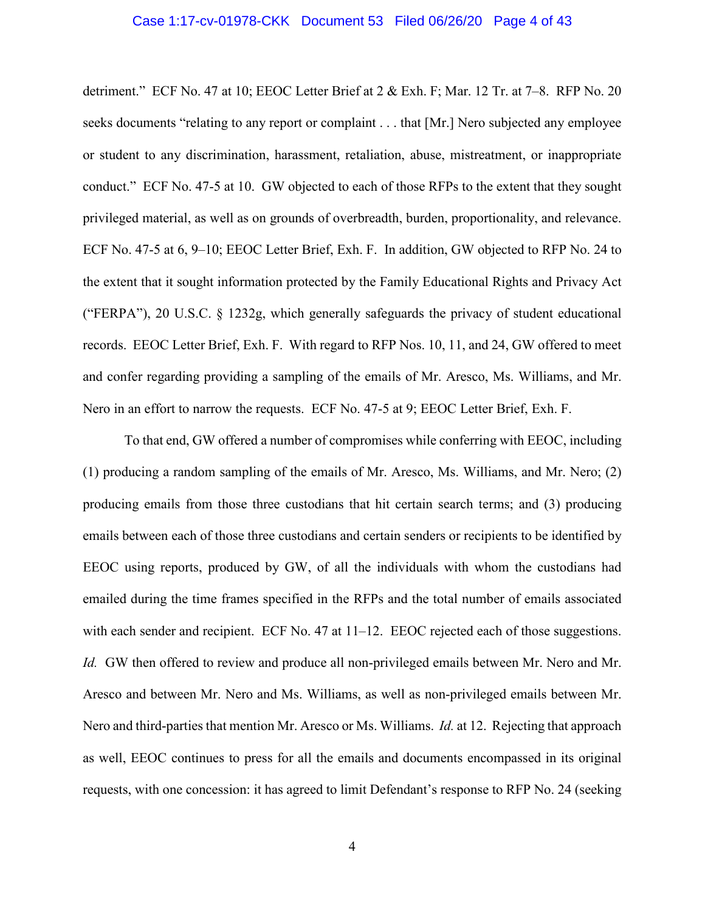#### Case 1:17-cv-01978-CKK Document 53 Filed 06/26/20 Page 4 of 43

detriment." ECF No. 47 at 10; EEOC Letter Brief at 2 & Exh. F; Mar. 12 Tr. at 7–8. RFP No. 20 seeks documents "relating to any report or complaint . . . that [Mr.] Nero subjected any employee or student to any discrimination, harassment, retaliation, abuse, mistreatment, or inappropriate conduct." ECF No. 47-5 at 10. GW objected to each of those RFPs to the extent that they sought privileged material, as well as on grounds of overbreadth, burden, proportionality, and relevance. ECF No. 47-5 at 6, 9–10; EEOC Letter Brief, Exh. F. In addition, GW objected to RFP No. 24 to the extent that it sought information protected by the Family Educational Rights and Privacy Act ("FERPA"), 20 U.S.C. § 1232g, which generally safeguards the privacy of student educational records. EEOC Letter Brief, Exh. F. With regard to RFP Nos. 10, 11, and 24, GW offered to meet and confer regarding providing a sampling of the emails of Mr. Aresco, Ms. Williams, and Mr. Nero in an effort to narrow the requests. ECF No. 47-5 at 9; EEOC Letter Brief, Exh. F.

To that end, GW offered a number of compromises while conferring with EEOC, including (1) producing a random sampling of the emails of Mr. Aresco, Ms. Williams, and Mr. Nero; (2) producing emails from those three custodians that hit certain search terms; and (3) producing emails between each of those three custodians and certain senders or recipients to be identified by EEOC using reports, produced by GW, of all the individuals with whom the custodians had emailed during the time frames specified in the RFPs and the total number of emails associated with each sender and recipient. ECF No. 47 at 11–12. EEOC rejected each of those suggestions. *Id.* GW then offered to review and produce all non-privileged emails between Mr. Nero and Mr. Aresco and between Mr. Nero and Ms. Williams, as well as non-privileged emails between Mr. Nero and third-parties that mention Mr. Aresco or Ms. Williams. *Id.* at 12. Rejecting that approach as well, EEOC continues to press for all the emails and documents encompassed in its original requests, with one concession: it has agreed to limit Defendant's response to RFP No. 24 (seeking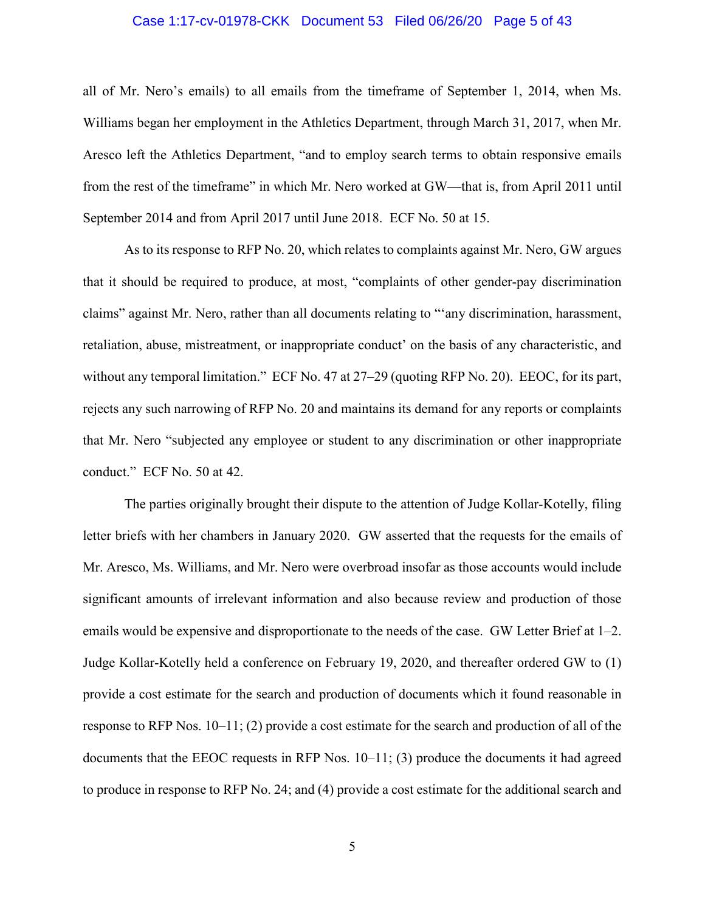#### Case 1:17-cv-01978-CKK Document 53 Filed 06/26/20 Page 5 of 43

all of Mr. Nero's emails) to all emails from the timeframe of September 1, 2014, when Ms. Williams began her employment in the Athletics Department, through March 31, 2017, when Mr. Aresco left the Athletics Department, "and to employ search terms to obtain responsive emails from the rest of the timeframe" in which Mr. Nero worked at GW—that is, from April 2011 until September 2014 and from April 2017 until June 2018. ECF No. 50 at 15.

As to its response to RFP No. 20, which relates to complaints against Mr. Nero, GW argues that it should be required to produce, at most, "complaints of other gender-pay discrimination claims" against Mr. Nero, rather than all documents relating to "'any discrimination, harassment, retaliation, abuse, mistreatment, or inappropriate conduct' on the basis of any characteristic, and without any temporal limitation." ECF No. 47 at 27–29 (quoting RFP No. 20). EEOC, for its part, rejects any such narrowing of RFP No. 20 and maintains its demand for any reports or complaints that Mr. Nero "subjected any employee or student to any discrimination or other inappropriate conduct." ECF No. 50 at 42.

The parties originally brought their dispute to the attention of Judge Kollar-Kotelly, filing letter briefs with her chambers in January 2020. GW asserted that the requests for the emails of Mr. Aresco, Ms. Williams, and Mr. Nero were overbroad insofar as those accounts would include significant amounts of irrelevant information and also because review and production of those emails would be expensive and disproportionate to the needs of the case. GW Letter Brief at 1–2. Judge Kollar-Kotelly held a conference on February 19, 2020, and thereafter ordered GW to (1) provide a cost estimate for the search and production of documents which it found reasonable in response to RFP Nos. 10–11; (2) provide a cost estimate for the search and production of all of the documents that the EEOC requests in RFP Nos.  $10-11$ ; (3) produce the documents it had agreed to produce in response to RFP No. 24; and (4) provide a cost estimate for the additional search and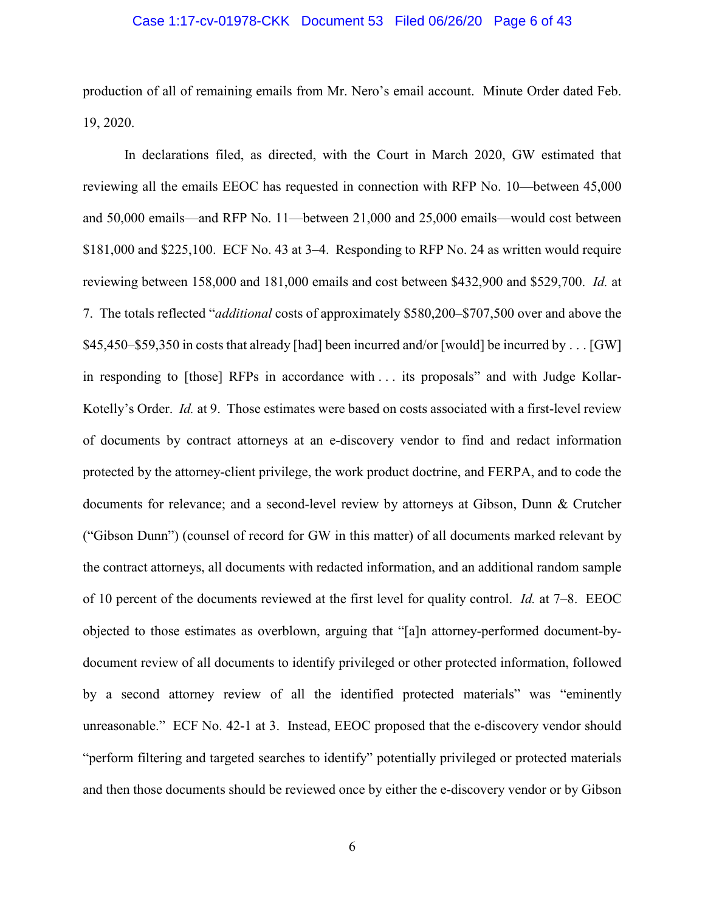#### Case 1:17-cv-01978-CKK Document 53 Filed 06/26/20 Page 6 of 43

production of all of remaining emails from Mr. Nero's email account. Minute Order dated Feb. 19, 2020.

In declarations filed, as directed, with the Court in March 2020, GW estimated that reviewing all the emails EEOC has requested in connection with RFP No. 10—between 45,000 and 50,000 emails—and RFP No. 11—between 21,000 and 25,000 emails—would cost between \$181,000 and \$225,100. ECF No. 43 at 3–4. Responding to RFP No. 24 as written would require reviewing between 158,000 and 181,000 emails and cost between \$432,900 and \$529,700. *Id.* at 7. The totals reflected "*additional* costs of approximately \$580,200–\$707,500 over and above the \$45,450–\$59,350 in costs that already [had] been incurred and/or [would] be incurred by . . . [GW] in responding to [those] RFPs in accordance with . . . its proposals" and with Judge Kollar-Kotelly's Order. *Id.* at 9. Those estimates were based on costs associated with a first-level review of documents by contract attorneys at an e-discovery vendor to find and redact information protected by the attorney-client privilege, the work product doctrine, and FERPA, and to code the documents for relevance; and a second-level review by attorneys at Gibson, Dunn & Crutcher ("Gibson Dunn") (counsel of record for GW in this matter) of all documents marked relevant by the contract attorneys, all documents with redacted information, and an additional random sample of 10 percent of the documents reviewed at the first level for quality control. *Id.* at 7–8. EEOC objected to those estimates as overblown, arguing that "[a]n attorney-performed document-bydocument review of all documents to identify privileged or other protected information, followed by a second attorney review of all the identified protected materials" was "eminently unreasonable." ECF No. 42-1 at 3. Instead, EEOC proposed that the e-discovery vendor should "perform filtering and targeted searches to identify" potentially privileged or protected materials and then those documents should be reviewed once by either the e-discovery vendor or by Gibson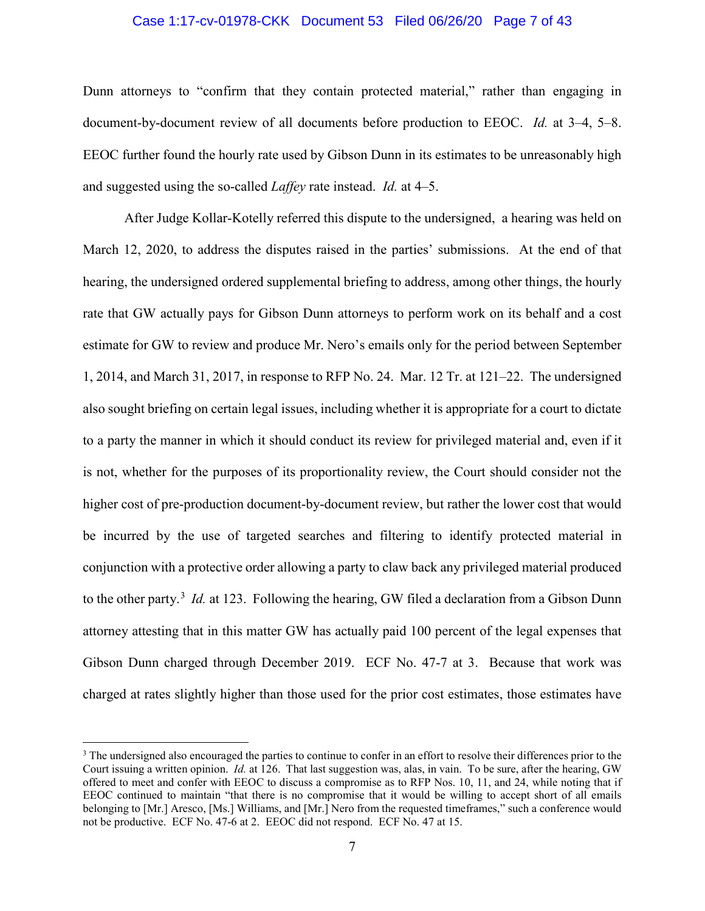# Case 1:17-cv-01978-CKK Document 53 Filed 06/26/20 Page 7 of 43

Dunn attorneys to "confirm that they contain protected material," rather than engaging in document-by-document review of all documents before production to EEOC. *Id.* at 3–4, 5–8. EEOC further found the hourly rate used by Gibson Dunn in its estimates to be unreasonably high and suggested using the so-called *Laffey* rate instead. *Id.* at 4–5.

After Judge Kollar-Kotelly referred this dispute to the undersigned, a hearing was held on March 12, 2020, to address the disputes raised in the parties' submissions. At the end of that hearing, the undersigned ordered supplemental briefing to address, among other things, the hourly rate that GW actually pays for Gibson Dunn attorneys to perform work on its behalf and a cost estimate for GW to review and produce Mr. Nero's emails only for the period between September 1, 2014, and March 31, 2017, in response to RFP No. 24. Mar. 12 Tr. at 121–22. The undersigned also sought briefing on certain legal issues, including whether it is appropriate for a court to dictate to a party the manner in which it should conduct its review for privileged material and, even if it is not, whether for the purposes of its proportionality review, the Court should consider not the higher cost of pre-production document-by-document review, but rather the lower cost that would be incurred by the use of targeted searches and filtering to identify protected material in conjunction with a protective order allowing a party to claw back any privileged material produced to the other party.<sup>[3](#page-6-0)</sup> *Id.* at 123. Following the hearing, GW filed a declaration from a Gibson Dunn attorney attesting that in this matter GW has actually paid 100 percent of the legal expenses that Gibson Dunn charged through December 2019. ECF No. 47-7 at 3. Because that work was charged at rates slightly higher than those used for the prior cost estimates, those estimates have

 $\overline{a}$ 

<span id="page-6-0"></span><sup>&</sup>lt;sup>3</sup> The undersigned also encouraged the parties to continue to confer in an effort to resolve their differences prior to the Court issuing a written opinion. *Id.* at 126. That last suggestion was, alas, in vain. To be sure, after the hearing, GW offered to meet and confer with EEOC to discuss a compromise as to RFP Nos. 10, 11, and 24, while noting that if EEOC continued to maintain "that there is no compromise that it would be willing to accept short of all emails belonging to [Mr.] Aresco, [Ms.] Williams, and [Mr.] Nero from the requested timeframes," such a conference would not be productive. ECF No. 47-6 at 2. EEOC did not respond. ECF No. 47 at 15.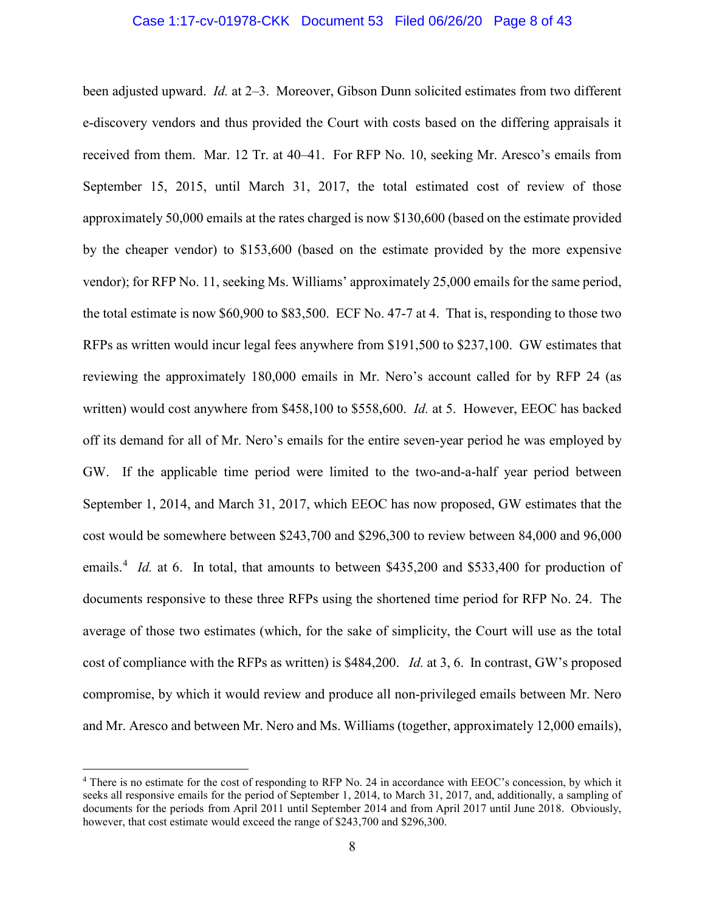been adjusted upward. *Id.* at 2–3. Moreover, Gibson Dunn solicited estimates from two different e-discovery vendors and thus provided the Court with costs based on the differing appraisals it received from them. Mar. 12 Tr. at 40–41. For RFP No. 10, seeking Mr. Aresco's emails from September 15, 2015, until March 31, 2017, the total estimated cost of review of those approximately 50,000 emails at the rates charged is now \$130,600 (based on the estimate provided by the cheaper vendor) to \$153,600 (based on the estimate provided by the more expensive vendor); for RFP No. 11, seeking Ms. Williams' approximately 25,000 emails for the same period, the total estimate is now \$60,900 to \$83,500. ECF No. 47-7 at 4. That is, responding to those two RFPs as written would incur legal fees anywhere from \$191,500 to \$237,100. GW estimates that reviewing the approximately 180,000 emails in Mr. Nero's account called for by RFP 24 (as written) would cost anywhere from \$458,100 to \$558,600. *Id.* at 5. However, EEOC has backed off its demand for all of Mr. Nero's emails for the entire seven-year period he was employed by GW. If the applicable time period were limited to the two-and-a-half year period between September 1, 2014, and March 31, 2017, which EEOC has now proposed, GW estimates that the cost would be somewhere between \$243,700 and \$296,300 to review between 84,000 and 96,000 emails.<sup>[4](#page-7-0)</sup> *Id.* at 6. In total, that amounts to between \$435,200 and \$533,400 for production of documents responsive to these three RFPs using the shortened time period for RFP No. 24. The average of those two estimates (which, for the sake of simplicity, the Court will use as the total cost of compliance with the RFPs as written) is \$484,200. *Id.* at 3, 6. In contrast, GW's proposed compromise, by which it would review and produce all non-privileged emails between Mr. Nero and Mr. Aresco and between Mr. Nero and Ms. Williams (together, approximately 12,000 emails),

<span id="page-7-0"></span><sup>4</sup> There is no estimate for the cost of responding to RFP No. 24 in accordance with EEOC's concession, by which it seeks all responsive emails for the period of September 1, 2014, to March 31, 2017, and, additionally, a sampling of documents for the periods from April 2011 until September 2014 and from April 2017 until June 2018. Obviously, however, that cost estimate would exceed the range of \$243,700 and \$296,300.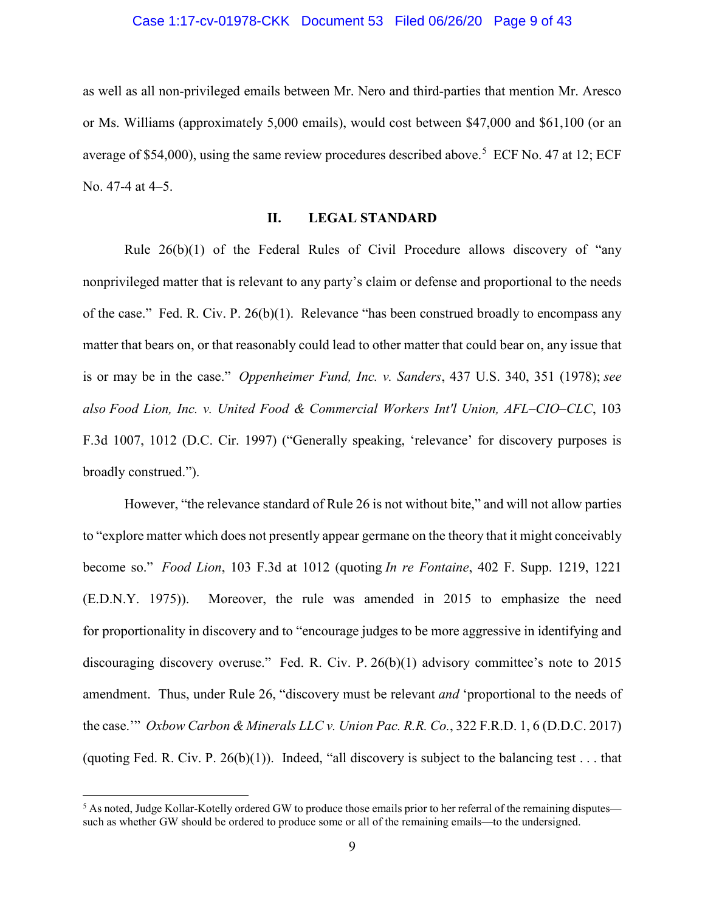#### Case 1:17-cv-01978-CKK Document 53 Filed 06/26/20 Page 9 of 43

as well as all non-privileged emails between Mr. Nero and third-parties that mention Mr. Aresco or Ms. Williams (approximately 5,000 emails), would cost between \$47,000 and \$61,100 (or an average of \$[5](#page-8-0)4,000), using the same review procedures described above.<sup>5</sup> ECF No. 47 at 12; ECF No. 47-4 at 4–5.

# **II. LEGAL STANDARD**

Rule 26(b)(1) of the Federal Rules of Civil Procedure allows discovery of "any nonprivileged matter that is relevant to any party's claim or defense and proportional to the needs of the case." Fed. R. Civ. P. 26(b)(1). Relevance "has been construed broadly to encompass any matter that bears on, or that reasonably could lead to other matter that could bear on, any issue that is or may be in the case." *Oppenheimer Fund, Inc. v. Sanders*, 437 U.S. 340, 351 (1978); *see also Food Lion, Inc. v. United Food & Commercial Workers Int'l Union, AFL–CIO–CLC*, 103 F.3d 1007, 1012 (D.C. Cir. 1997) ("Generally speaking, 'relevance' for discovery purposes is broadly construed.").

However, "the relevance standard of Rule 26 is not without bite," and will not allow parties to "explore matter which does not presently appear germane on the theory that it might conceivably become so." *Food Lion*, 103 F.3d at 1012 (quoting *In re Fontaine*, 402 F. Supp. 1219, 1221 (E.D.N.Y. 1975)). Moreover, the rule was amended in 2015 to emphasize the need for proportionality in discovery and to "encourage judges to be more aggressive in identifying and discouraging discovery overuse." Fed. R. Civ. P. 26(b)(1) advisory committee's note to 2015 amendment. Thus, under Rule 26, "discovery must be relevant *and* 'proportional to the needs of the case.'" *Oxbow Carbon & Minerals LLC v. Union Pac. R.R. Co.*, 322 F.R.D. 1, 6 (D.D.C. 2017) (quoting Fed. R. Civ. P. 26(b)(1)). Indeed, "all discovery is subject to the balancing test . . . that

<span id="page-8-0"></span><sup>&</sup>lt;sup>5</sup> As noted, Judge Kollar-Kotelly ordered GW to produce those emails prior to her referral of the remaining disputes such as whether GW should be ordered to produce some or all of the remaining emails—to the undersigned.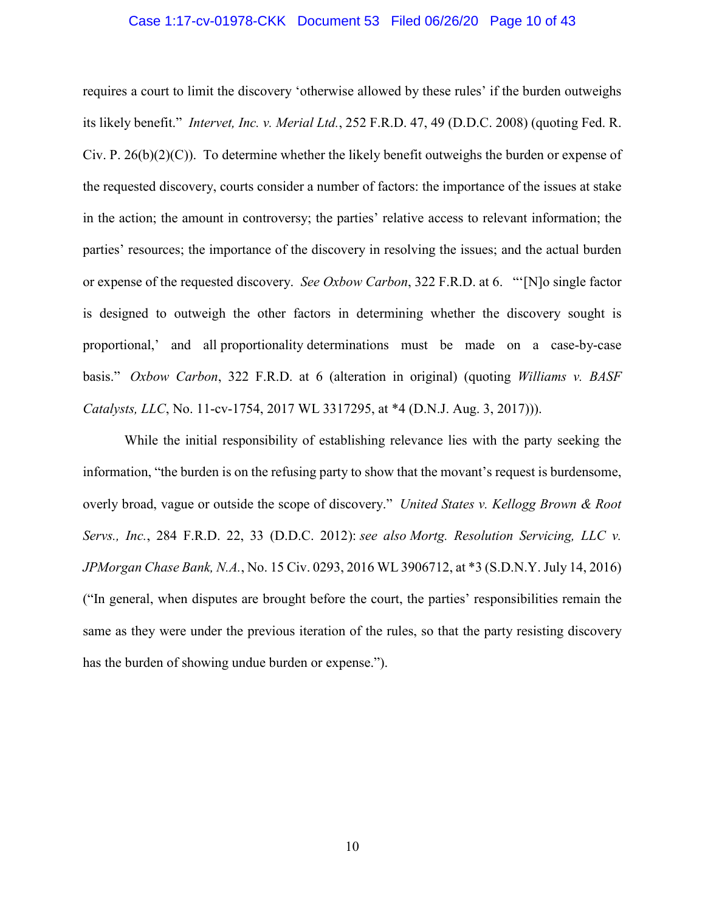#### Case 1:17-cv-01978-CKK Document 53 Filed 06/26/20 Page 10 of 43

requires a court to limit the discovery 'otherwise allowed by these rules' if the burden outweighs its likely benefit." *Intervet, Inc. v. Merial Ltd.*, 252 F.R.D. 47, 49 (D.D.C. 2008) (quoting Fed. R. Civ. P.  $26(b)(2)(C)$ ). To determine whether the likely benefit outweighs the burden or expense of the requested discovery, courts consider a number of factors: the importance of the issues at stake in the action; the amount in controversy; the parties' relative access to relevant information; the parties' resources; the importance of the discovery in resolving the issues; and the actual burden or expense of the requested discovery. *See Oxbow Carbon*, 322 F.R.D. at 6. "'[N]o single factor is designed to outweigh the other factors in determining whether the discovery sought is proportional,' and all proportionality determinations must be made on a case-by-case basis." *Oxbow Carbon*, 322 F.R.D. at 6 (alteration in original) (quoting *Williams v. BASF Catalysts, LLC*, No. 11-cv-1754, 2017 WL 3317295, at \*4 (D.N.J. Aug. 3, 2017))).

While the initial responsibility of establishing relevance lies with the party seeking the information, "the burden is on the refusing party to show that the movant's request is burdensome, overly broad, vague or outside the scope of discovery." *United States v. Kellogg Brown & Root Servs., Inc.*, 284 F.R.D. 22, 33 (D.D.C. 2012): *see also Mortg. Resolution Servicing, LLC v. JPMorgan Chase Bank, N.A.*, No. 15 Civ. 0293, 2016 WL 3906712, at \*3 (S.D.N.Y. July 14, 2016) ("In general, when disputes are brought before the court, the parties' responsibilities remain the same as they were under the previous iteration of the rules, so that the party resisting discovery has the burden of showing undue burden or expense.").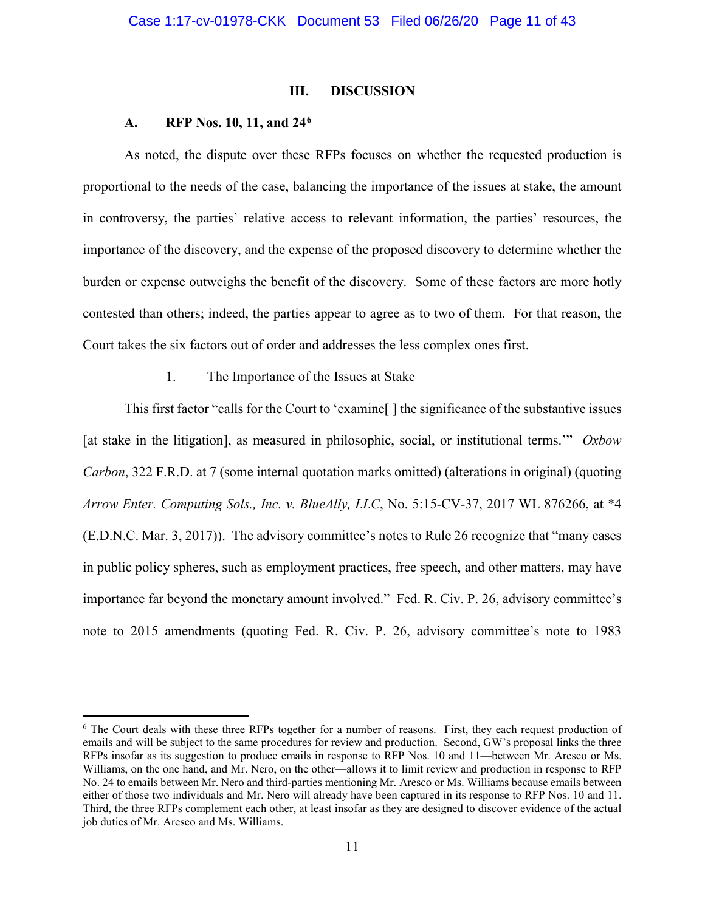#### **III. DISCUSSION**

# **A. RFP Nos. 10, 11, and 24[6](#page-10-0)**

l

As noted, the dispute over these RFPs focuses on whether the requested production is proportional to the needs of the case, balancing the importance of the issues at stake, the amount in controversy, the parties' relative access to relevant information, the parties' resources, the importance of the discovery, and the expense of the proposed discovery to determine whether the burden or expense outweighs the benefit of the discovery. Some of these factors are more hotly contested than others; indeed, the parties appear to agree as to two of them. For that reason, the Court takes the six factors out of order and addresses the less complex ones first.

# 1. The Importance of the Issues at Stake

This first factor "calls for the Court to 'examine[ ] the significance of the substantive issues [at stake in the litigation], as measured in philosophic, social, or institutional terms.'" *Oxbow Carbon*, 322 F.R.D. at 7 (some internal quotation marks omitted) (alterations in original) (quoting *Arrow Enter. Computing Sols., Inc. v. BlueAlly, LLC*, No. 5:15-CV-37, 2017 WL 876266, at \*4 (E.D.N.C. Mar. 3, 2017)). The advisory committee's notes to Rule 26 recognize that "many cases in public policy spheres, such as employment practices, free speech, and other matters, may have importance far beyond the monetary amount involved." Fed. R. Civ. P. 26, advisory committee's note to 2015 amendments (quoting Fed. R. Civ. P. 26, advisory committee's note to 1983

<span id="page-10-0"></span><sup>&</sup>lt;sup>6</sup> The Court deals with these three RFPs together for a number of reasons. First, they each request production of emails and will be subject to the same procedures for review and production. Second, GW's proposal links the three RFPs insofar as its suggestion to produce emails in response to RFP Nos. 10 and 11—between Mr. Aresco or Ms. Williams, on the one hand, and Mr. Nero, on the other—allows it to limit review and production in response to RFP No. 24 to emails between Mr. Nero and third-parties mentioning Mr. Aresco or Ms. Williams because emails between either of those two individuals and Mr. Nero will already have been captured in its response to RFP Nos. 10 and 11. Third, the three RFPs complement each other, at least insofar as they are designed to discover evidence of the actual job duties of Mr. Aresco and Ms. Williams.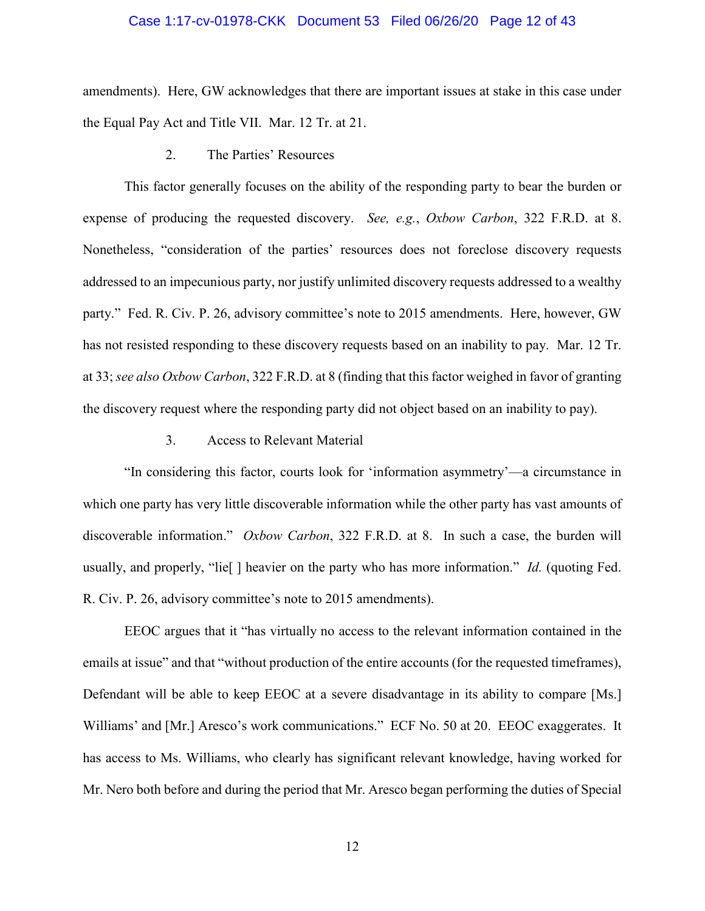# Case 1:17-cv-01978-CKK Document 53 Filed 06/26/20 Page 12 of 43

amendments). Here, GW acknowledges that there are important issues at stake in this case under the Equal Pay Act and Title VII. Mar. 12 Tr. at 21.

2. The Parties' Resources

This factor generally focuses on the ability of the responding party to bear the burden or expense of producing the requested discovery. *See, e.g.*, *Oxbow Carbon*, 322 F.R.D. at 8. Nonetheless, "consideration of the parties' resources does not foreclose discovery requests addressed to an impecunious party, nor justify unlimited discovery requests addressed to a wealthy party." Fed. R. Civ. P. 26, advisory committee's note to 2015 amendments. Here, however, GW has not resisted responding to these discovery requests based on an inability to pay. Mar. 12 Tr. at 33; *see also Oxbow Carbon*, 322 F.R.D. at 8 (finding that this factor weighed in favor of granting the discovery request where the responding party did not object based on an inability to pay).

3. Access to Relevant Material

"In considering this factor, courts look for 'information asymmetry'—a circumstance in which one party has very little discoverable information while the other party has vast amounts of discoverable information." *Oxbow Carbon*, 322 F.R.D. at 8. In such a case, the burden will usually, and properly, "lie[ ] heavier on the party who has more information." *Id.* (quoting Fed. R. Civ. P. 26, advisory committee's note to 2015 amendments).

EEOC argues that it "has virtually no access to the relevant information contained in the emails at issue" and that "without production of the entire accounts (for the requested timeframes), Defendant will be able to keep EEOC at a severe disadvantage in its ability to compare [Ms.] Williams' and [Mr.] Aresco's work communications." ECF No. 50 at 20. EEOC exaggerates. It has access to Ms. Williams, who clearly has significant relevant knowledge, having worked for Mr. Nero both before and during the period that Mr. Aresco began performing the duties of Special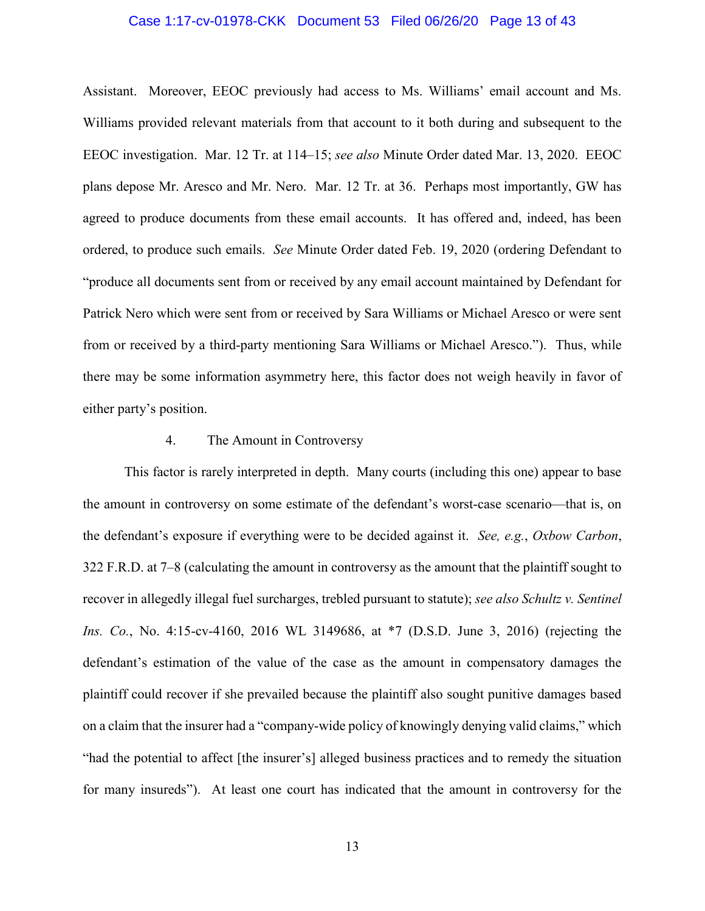## Case 1:17-cv-01978-CKK Document 53 Filed 06/26/20 Page 13 of 43

Assistant. Moreover, EEOC previously had access to Ms. Williams' email account and Ms. Williams provided relevant materials from that account to it both during and subsequent to the EEOC investigation. Mar. 12 Tr. at 114–15; *see also* Minute Order dated Mar. 13, 2020. EEOC plans depose Mr. Aresco and Mr. Nero. Mar. 12 Tr. at 36. Perhaps most importantly, GW has agreed to produce documents from these email accounts. It has offered and, indeed, has been ordered, to produce such emails. *See* Minute Order dated Feb. 19, 2020 (ordering Defendant to "produce all documents sent from or received by any email account maintained by Defendant for Patrick Nero which were sent from or received by Sara Williams or Michael Aresco or were sent from or received by a third-party mentioning Sara Williams or Michael Aresco."). Thus, while there may be some information asymmetry here, this factor does not weigh heavily in favor of either party's position.

# 4. The Amount in Controversy

This factor is rarely interpreted in depth. Many courts (including this one) appear to base the amount in controversy on some estimate of the defendant's worst-case scenario—that is, on the defendant's exposure if everything were to be decided against it. *See, e.g.*, *Oxbow Carbon*, 322 F.R.D. at 7–8 (calculating the amount in controversy as the amount that the plaintiff sought to recover in allegedly illegal fuel surcharges, trebled pursuant to statute); *see also Schultz v. Sentinel Ins. Co.*, No. 4:15-cv-4160, 2016 WL 3149686, at \*7 (D.S.D. June 3, 2016) (rejecting the defendant's estimation of the value of the case as the amount in compensatory damages the plaintiff could recover if she prevailed because the plaintiff also sought punitive damages based on a claim that the insurer had a "company-wide policy of knowingly denying valid claims," which "had the potential to affect [the insurer's] alleged business practices and to remedy the situation for many insureds"). At least one court has indicated that the amount in controversy for the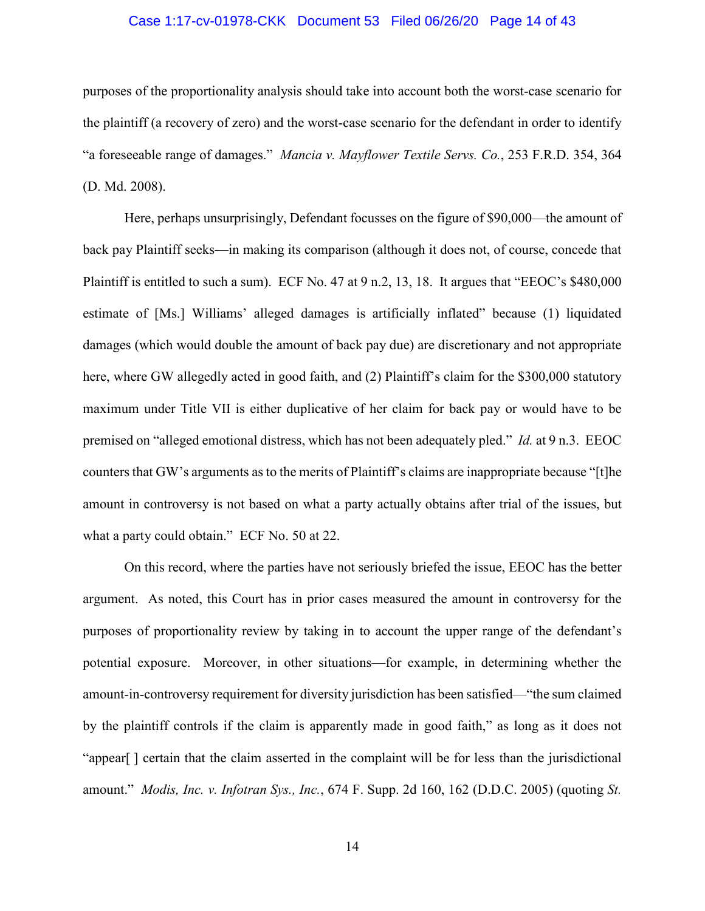# Case 1:17-cv-01978-CKK Document 53 Filed 06/26/20 Page 14 of 43

purposes of the proportionality analysis should take into account both the worst-case scenario for the plaintiff (a recovery of zero) and the worst-case scenario for the defendant in order to identify "a foreseeable range of damages." *Mancia v. Mayflower Textile Servs. Co.*, 253 F.R.D. 354, 364 (D. Md. 2008).

Here, perhaps unsurprisingly, Defendant focusses on the figure of \$90,000—the amount of back pay Plaintiff seeks—in making its comparison (although it does not, of course, concede that Plaintiff is entitled to such a sum). ECF No. 47 at 9 n.2, 13, 18. It argues that "EEOC's \$480,000 estimate of [Ms.] Williams' alleged damages is artificially inflated" because (1) liquidated damages (which would double the amount of back pay due) are discretionary and not appropriate here, where GW allegedly acted in good faith, and (2) Plaintiff's claim for the \$300,000 statutory maximum under Title VII is either duplicative of her claim for back pay or would have to be premised on "alleged emotional distress, which has not been adequately pled." *Id.* at 9 n.3. EEOC counters that GW's arguments as to the merits of Plaintiff's claims are inappropriate because "[t]he amount in controversy is not based on what a party actually obtains after trial of the issues, but what a party could obtain." ECF No. 50 at 22.

On this record, where the parties have not seriously briefed the issue, EEOC has the better argument. As noted, this Court has in prior cases measured the amount in controversy for the purposes of proportionality review by taking in to account the upper range of the defendant's potential exposure. Moreover, in other situations—for example, in determining whether the amount-in-controversy requirement for diversity jurisdiction has been satisfied—"the sum claimed by the plaintiff controls if the claim is apparently made in good faith," as long as it does not "appear[ ] certain that the claim asserted in the complaint will be for less than the jurisdictional amount." *Modis, Inc. v. Infotran Sys., Inc.*, 674 F. Supp. 2d 160, 162 (D.D.C. 2005) (quoting *St.*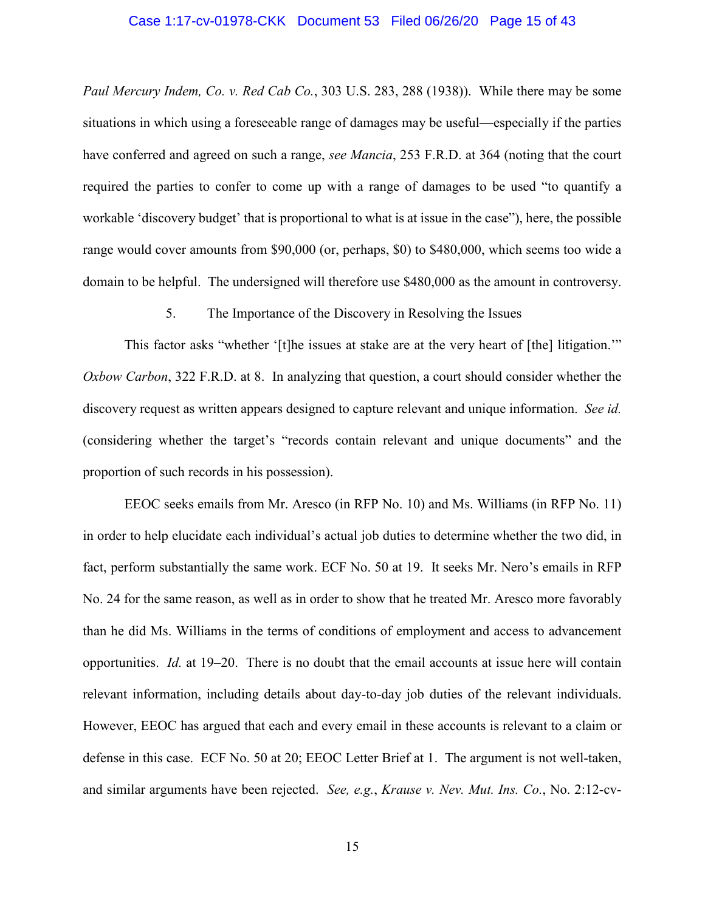#### Case 1:17-cv-01978-CKK Document 53 Filed 06/26/20 Page 15 of 43

*Paul Mercury Indem, Co. v. Red Cab Co.*, 303 U.S. 283, 288 (1938)). While there may be some situations in which using a foreseeable range of damages may be useful—especially if the parties have conferred and agreed on such a range, *see Mancia*, 253 F.R.D. at 364 (noting that the court required the parties to confer to come up with a range of damages to be used "to quantify a workable 'discovery budget' that is proportional to what is at issue in the case"), here, the possible range would cover amounts from \$90,000 (or, perhaps, \$0) to \$480,000, which seems too wide a domain to be helpful. The undersigned will therefore use \$480,000 as the amount in controversy.

5. The Importance of the Discovery in Resolving the Issues

This factor asks "whether '[t]he issues at stake are at the very heart of [the] litigation." *Oxbow Carbon*, 322 F.R.D. at 8. In analyzing that question, a court should consider whether the discovery request as written appears designed to capture relevant and unique information. *See id.* (considering whether the target's "records contain relevant and unique documents" and the proportion of such records in his possession).

EEOC seeks emails from Mr. Aresco (in RFP No. 10) and Ms. Williams (in RFP No. 11) in order to help elucidate each individual's actual job duties to determine whether the two did, in fact, perform substantially the same work. ECF No. 50 at 19. It seeks Mr. Nero's emails in RFP No. 24 for the same reason, as well as in order to show that he treated Mr. Aresco more favorably than he did Ms. Williams in the terms of conditions of employment and access to advancement opportunities. *Id.* at 19–20. There is no doubt that the email accounts at issue here will contain relevant information, including details about day-to-day job duties of the relevant individuals. However, EEOC has argued that each and every email in these accounts is relevant to a claim or defense in this case. ECF No. 50 at 20; EEOC Letter Brief at 1. The argument is not well-taken, and similar arguments have been rejected. *See, e.g.*, *Krause v. Nev. Mut. Ins. Co.*, No. 2:12-cv-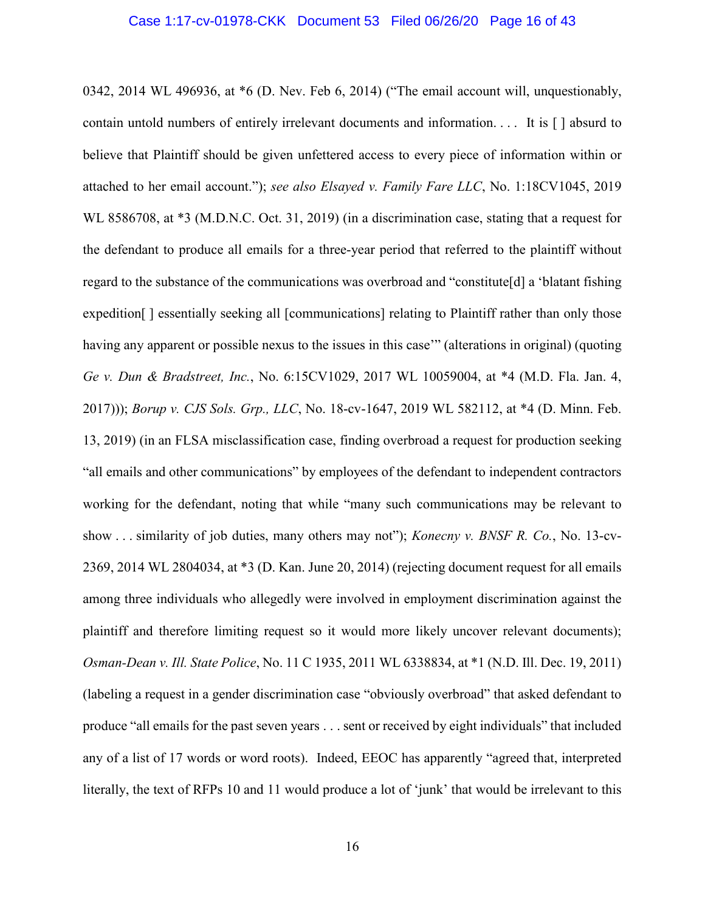#### Case 1:17-cv-01978-CKK Document 53 Filed 06/26/20 Page 16 of 43

0342, 2014 WL 496936, at \*6 (D. Nev. Feb 6, 2014) ("The email account will, unquestionably, contain untold numbers of entirely irrelevant documents and information. . . . It is [ ] absurd to believe that Plaintiff should be given unfettered access to every piece of information within or attached to her email account."); *see also Elsayed v. Family Fare LLC*, No. 1:18CV1045, 2019 WL 8586708, at \*3 (M.D.N.C. Oct. 31, 2019) (in a discrimination case, stating that a request for the defendant to produce all emails for a three-year period that referred to the plaintiff without regard to the substance of the communications was overbroad and "constitute[d] a 'blatant fishing expedition [ ] essentially seeking all [communications] relating to Plaintiff rather than only those having any apparent or possible nexus to the issues in this case" (alterations in original) (quoting *Ge v. Dun & Bradstreet, Inc.*, No. 6:15CV1029, 2017 WL 10059004, at \*4 (M.D. Fla. Jan. 4, 2017))); *Borup v. CJS Sols. Grp., LLC*, No. 18-cv-1647, 2019 WL 582112, at \*4 (D. Minn. Feb. 13, 2019) (in an FLSA misclassification case, finding overbroad a request for production seeking "all emails and other communications" by employees of the defendant to independent contractors working for the defendant, noting that while "many such communications may be relevant to show . . . similarity of job duties, many others may not"); *Konecny v. BNSF R. Co.*, No. 13-cv-2369, 2014 WL 2804034, at \*3 (D. Kan. June 20, 2014) (rejecting document request for all emails among three individuals who allegedly were involved in employment discrimination against the plaintiff and therefore limiting request so it would more likely uncover relevant documents); *Osman-Dean v. Ill. State Police*, No. 11 C 1935, 2011 WL 6338834, at \*1 (N.D. Ill. Dec. 19, 2011) (labeling a request in a gender discrimination case "obviously overbroad" that asked defendant to produce "all emails for the past seven years . . . sent or received by eight individuals" that included any of a list of 17 words or word roots). Indeed, EEOC has apparently "agreed that, interpreted literally, the text of RFPs 10 and 11 would produce a lot of 'junk' that would be irrelevant to this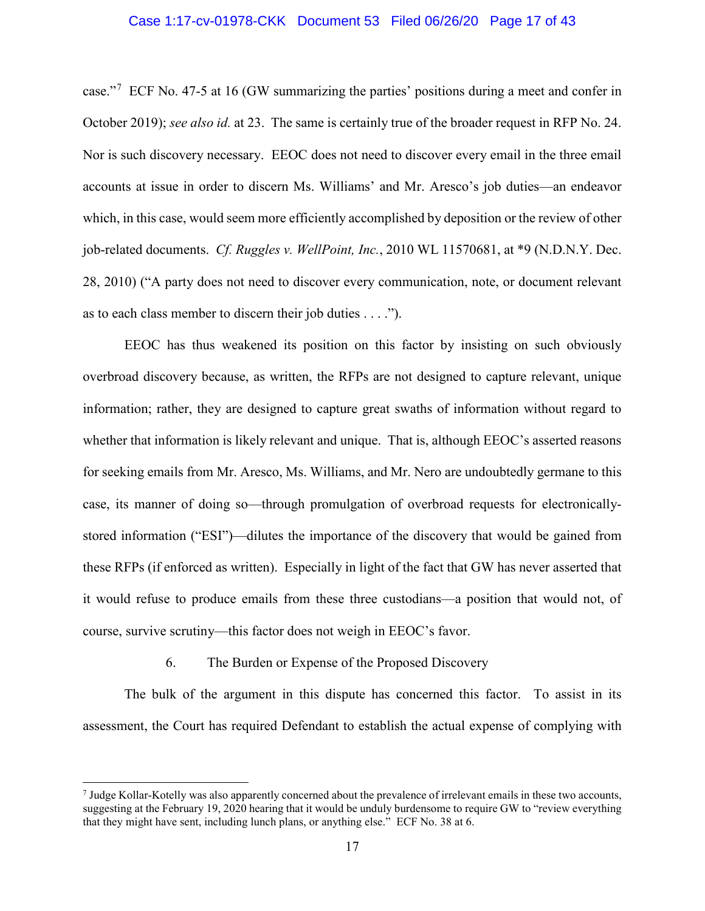# Case 1:17-cv-01978-CKK Document 53 Filed 06/26/20 Page 17 of 43

case."<sup>[7](#page-16-0)</sup> ECF No. 47-5 at 16 (GW summarizing the parties' positions during a meet and confer in October 2019); *see also id.* at 23. The same is certainly true of the broader request in RFP No. 24. Nor is such discovery necessary. EEOC does not need to discover every email in the three email accounts at issue in order to discern Ms. Williams' and Mr. Aresco's job duties—an endeavor which, in this case, would seem more efficiently accomplished by deposition or the review of other job-related documents. *Cf. Ruggles v. WellPoint, Inc.*, 2010 WL 11570681, at \*9 (N.D.N.Y. Dec. 28, 2010) ("A party does not need to discover every communication, note, or document relevant as to each class member to discern their job duties . . . .").

EEOC has thus weakened its position on this factor by insisting on such obviously overbroad discovery because, as written, the RFPs are not designed to capture relevant, unique information; rather, they are designed to capture great swaths of information without regard to whether that information is likely relevant and unique. That is, although EEOC's asserted reasons for seeking emails from Mr. Aresco, Ms. Williams, and Mr. Nero are undoubtedly germane to this case, its manner of doing so—through promulgation of overbroad requests for electronicallystored information ("ESI")—dilutes the importance of the discovery that would be gained from these RFPs (if enforced as written). Especially in light of the fact that GW has never asserted that it would refuse to produce emails from these three custodians—a position that would not, of course, survive scrutiny—this factor does not weigh in EEOC's favor.

#### 6. The Burden or Expense of the Proposed Discovery

l

The bulk of the argument in this dispute has concerned this factor. To assist in its assessment, the Court has required Defendant to establish the actual expense of complying with

<span id="page-16-0"></span><sup>7</sup> Judge Kollar-Kotelly was also apparently concerned about the prevalence of irrelevant emails in these two accounts, suggesting at the February 19, 2020 hearing that it would be unduly burdensome to require GW to "review everything that they might have sent, including lunch plans, or anything else." ECF No. 38 at 6.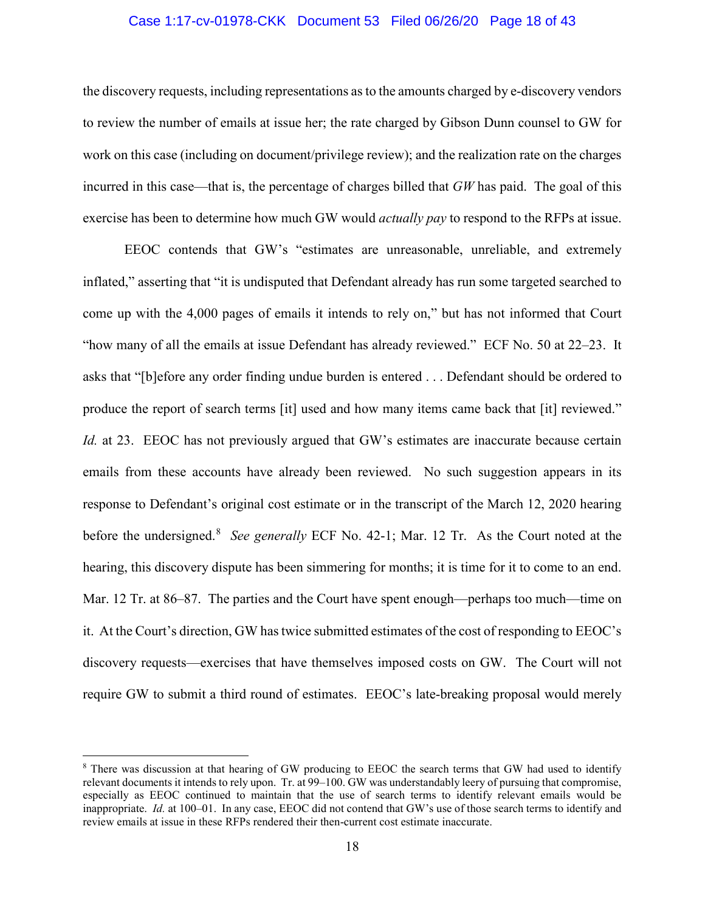# Case 1:17-cv-01978-CKK Document 53 Filed 06/26/20 Page 18 of 43

the discovery requests, including representations as to the amounts charged by e-discovery vendors to review the number of emails at issue her; the rate charged by Gibson Dunn counsel to GW for work on this case (including on document/privilege review); and the realization rate on the charges incurred in this case—that is, the percentage of charges billed that *GW* has paid. The goal of this exercise has been to determine how much GW would *actually pay* to respond to the RFPs at issue.

EEOC contends that GW's "estimates are unreasonable, unreliable, and extremely inflated," asserting that "it is undisputed that Defendant already has run some targeted searched to come up with the 4,000 pages of emails it intends to rely on," but has not informed that Court "how many of all the emails at issue Defendant has already reviewed." ECF No. 50 at 22–23. It asks that "[b]efore any order finding undue burden is entered . . . Defendant should be ordered to produce the report of search terms [it] used and how many items came back that [it] reviewed." *Id.* at 23. EEOC has not previously argued that GW's estimates are inaccurate because certain emails from these accounts have already been reviewed. No such suggestion appears in its response to Defendant's original cost estimate or in the transcript of the March 12, 2020 hearing before the undersigned.<sup>[8](#page-17-0)</sup> See generally ECF No. 42-1; Mar. 12 Tr. As the Court noted at the hearing, this discovery dispute has been simmering for months; it is time for it to come to an end. Mar. 12 Tr. at 86–87. The parties and the Court have spent enough—perhaps too much—time on it. At the Court's direction, GW has twice submitted estimates of the cost of responding to EEOC's discovery requests—exercises that have themselves imposed costs on GW. The Court will not require GW to submit a third round of estimates. EEOC's late-breaking proposal would merely

 $\overline{\phantom{a}}$ 

<span id="page-17-0"></span><sup>&</sup>lt;sup>8</sup> There was discussion at that hearing of GW producing to EEOC the search terms that GW had used to identify relevant documents it intends to rely upon. Tr. at 99–100. GW was understandably leery of pursuing that compromise, especially as EEOC continued to maintain that the use of search terms to identify relevant emails would be inappropriate. *Id.* at 100–01. In any case, EEOC did not contend that GW's use of those search terms to identify and review emails at issue in these RFPs rendered their then-current cost estimate inaccurate.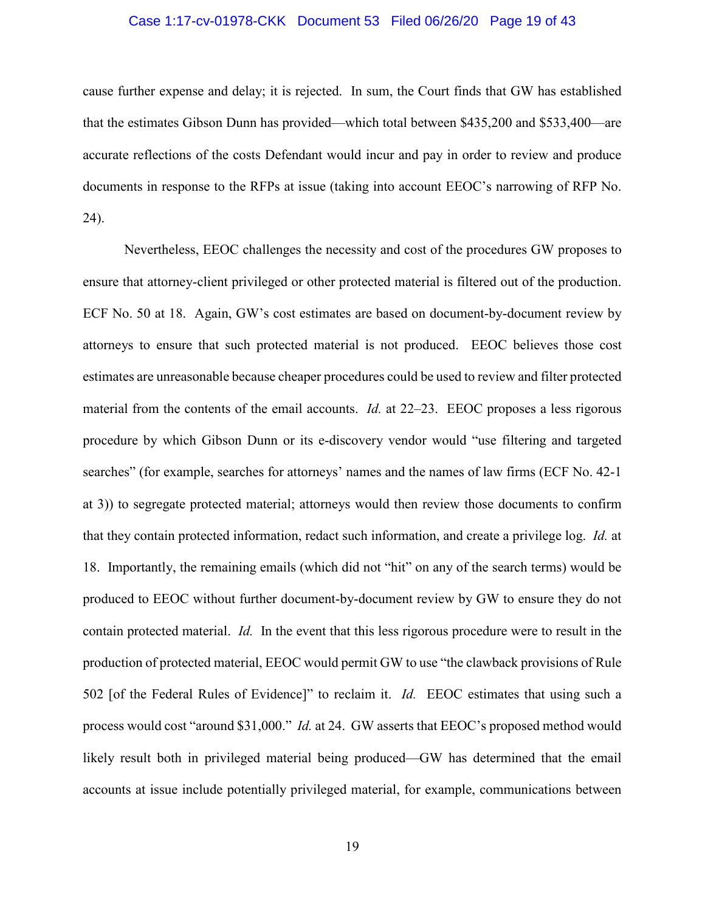# Case 1:17-cv-01978-CKK Document 53 Filed 06/26/20 Page 19 of 43

cause further expense and delay; it is rejected. In sum, the Court finds that GW has established that the estimates Gibson Dunn has provided—which total between \$435,200 and \$533,400—are accurate reflections of the costs Defendant would incur and pay in order to review and produce documents in response to the RFPs at issue (taking into account EEOC's narrowing of RFP No. 24).

Nevertheless, EEOC challenges the necessity and cost of the procedures GW proposes to ensure that attorney-client privileged or other protected material is filtered out of the production. ECF No. 50 at 18. Again, GW's cost estimates are based on document-by-document review by attorneys to ensure that such protected material is not produced. EEOC believes those cost estimates are unreasonable because cheaper procedures could be used to review and filter protected material from the contents of the email accounts. *Id.* at 22–23. EEOC proposes a less rigorous procedure by which Gibson Dunn or its e-discovery vendor would "use filtering and targeted searches" (for example, searches for attorneys' names and the names of law firms (ECF No. 42-1 at 3)) to segregate protected material; attorneys would then review those documents to confirm that they contain protected information, redact such information, and create a privilege log. *Id.* at 18. Importantly, the remaining emails (which did not "hit" on any of the search terms) would be produced to EEOC without further document-by-document review by GW to ensure they do not contain protected material. *Id.* In the event that this less rigorous procedure were to result in the production of protected material, EEOC would permit GW to use "the clawback provisions of Rule 502 [of the Federal Rules of Evidence]" to reclaim it. *Id.* EEOC estimates that using such a process would cost "around \$31,000." *Id.* at 24. GW asserts that EEOC's proposed method would likely result both in privileged material being produced—GW has determined that the email accounts at issue include potentially privileged material, for example, communications between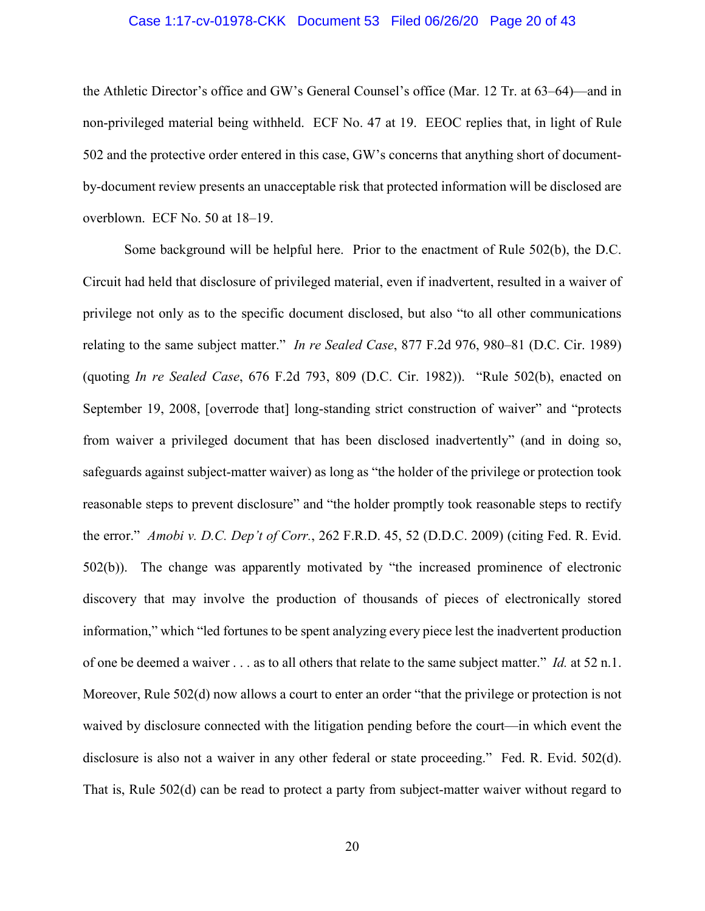## Case 1:17-cv-01978-CKK Document 53 Filed 06/26/20 Page 20 of 43

the Athletic Director's office and GW's General Counsel's office (Mar. 12 Tr. at 63–64)—and in non-privileged material being withheld. ECF No. 47 at 19. EEOC replies that, in light of Rule 502 and the protective order entered in this case, GW's concerns that anything short of documentby-document review presents an unacceptable risk that protected information will be disclosed are overblown. ECF No. 50 at 18–19.

Some background will be helpful here. Prior to the enactment of Rule 502(b), the D.C. Circuit had held that disclosure of privileged material, even if inadvertent, resulted in a waiver of privilege not only as to the specific document disclosed, but also "to all other communications relating to the same subject matter." *In re Sealed Case*, 877 F.2d 976, 980–81 (D.C. Cir. 1989) (quoting *In re Sealed Case*, 676 F.2d 793, 809 (D.C. Cir. 1982)). "Rule 502(b), enacted on September 19, 2008, [overrode that] long-standing strict construction of waiver" and "protects from waiver a privileged document that has been disclosed inadvertently" (and in doing so, safeguards against subject-matter waiver) as long as "the holder of the privilege or protection took reasonable steps to prevent disclosure" and "the holder promptly took reasonable steps to rectify the error." *Amobi v. D.C. Dep't of Corr.*, 262 F.R.D. 45, 52 (D.D.C. 2009) (citing Fed. R. Evid. 502(b)). The change was apparently motivated by "the increased prominence of electronic discovery that may involve the production of thousands of pieces of electronically stored information," which "led fortunes to be spent analyzing every piece lest the inadvertent production of one be deemed a waiver . . . as to all others that relate to the same subject matter." *Id.* at 52 n.1. Moreover, Rule 502(d) now allows a court to enter an order "that the privilege or protection is not waived by disclosure connected with the litigation pending before the court—in which event the disclosure is also not a waiver in any other federal or state proceeding." Fed. R. Evid. 502(d). That is, Rule 502(d) can be read to protect a party from subject-matter waiver without regard to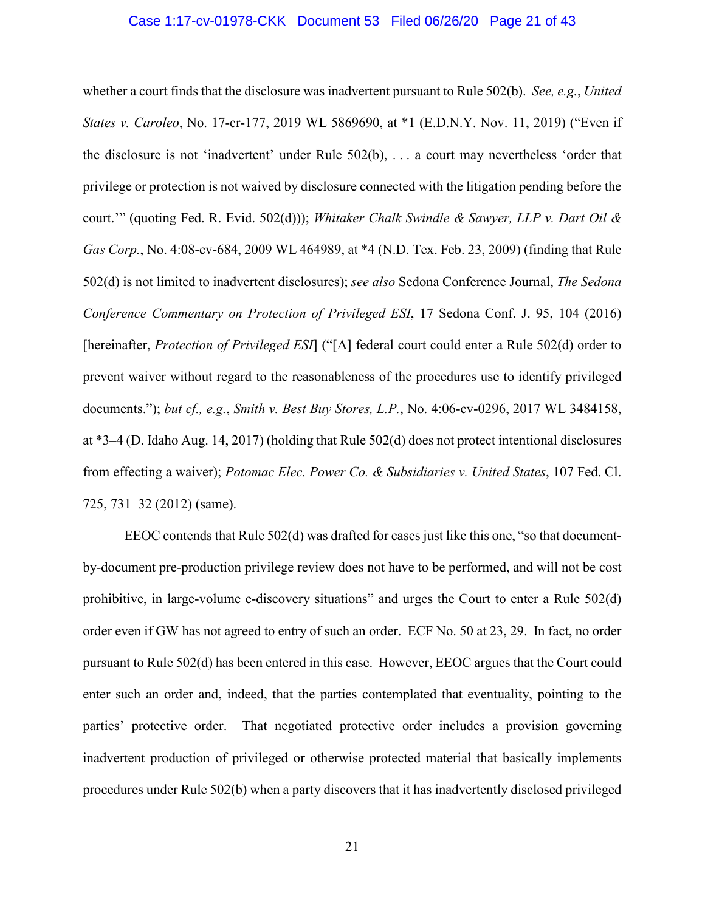#### Case 1:17-cv-01978-CKK Document 53 Filed 06/26/20 Page 21 of 43

whether a court finds that the disclosure was inadvertent pursuant to Rule 502(b). *See, e.g.*, *United States v. Caroleo*, No. 17-cr-177, 2019 WL 5869690, at \*1 (E.D.N.Y. Nov. 11, 2019) ("Even if the disclosure is not 'inadvertent' under Rule 502(b), . . . a court may nevertheless 'order that privilege or protection is not waived by disclosure connected with the litigation pending before the court.'" (quoting Fed. R. Evid. 502(d))); *Whitaker Chalk Swindle & Sawyer, LLP v. Dart Oil & Gas Corp.*, No. 4:08-cv-684, 2009 WL 464989, at \*4 (N.D. Tex. Feb. 23, 2009) (finding that Rule 502(d) is not limited to inadvertent disclosures); *see also* Sedona Conference Journal, *The Sedona Conference Commentary on Protection of Privileged ESI*, 17 Sedona Conf. J. 95, 104 (2016) [hereinafter, *Protection of Privileged ESI*] ("[A] federal court could enter a Rule 502(d) order to prevent waiver without regard to the reasonableness of the procedures use to identify privileged documents."); *but cf., e.g.*, *Smith v. Best Buy Stores, L.P.*, No. 4:06-cv-0296, 2017 WL 3484158, at \*3–4 (D. Idaho Aug. 14, 2017) (holding that Rule 502(d) does not protect intentional disclosures from effecting a waiver); *Potomac Elec. Power Co. & Subsidiaries v. United States*, 107 Fed. Cl. 725, 731–32 (2012) (same).

EEOC contends that Rule 502(d) was drafted for cases just like this one, "so that documentby-document pre-production privilege review does not have to be performed, and will not be cost prohibitive, in large-volume e-discovery situations" and urges the Court to enter a Rule 502(d) order even if GW has not agreed to entry of such an order. ECF No. 50 at 23, 29. In fact, no order pursuant to Rule 502(d) has been entered in this case. However, EEOC argues that the Court could enter such an order and, indeed, that the parties contemplated that eventuality, pointing to the parties' protective order. That negotiated protective order includes a provision governing inadvertent production of privileged or otherwise protected material that basically implements procedures under Rule 502(b) when a party discovers that it has inadvertently disclosed privileged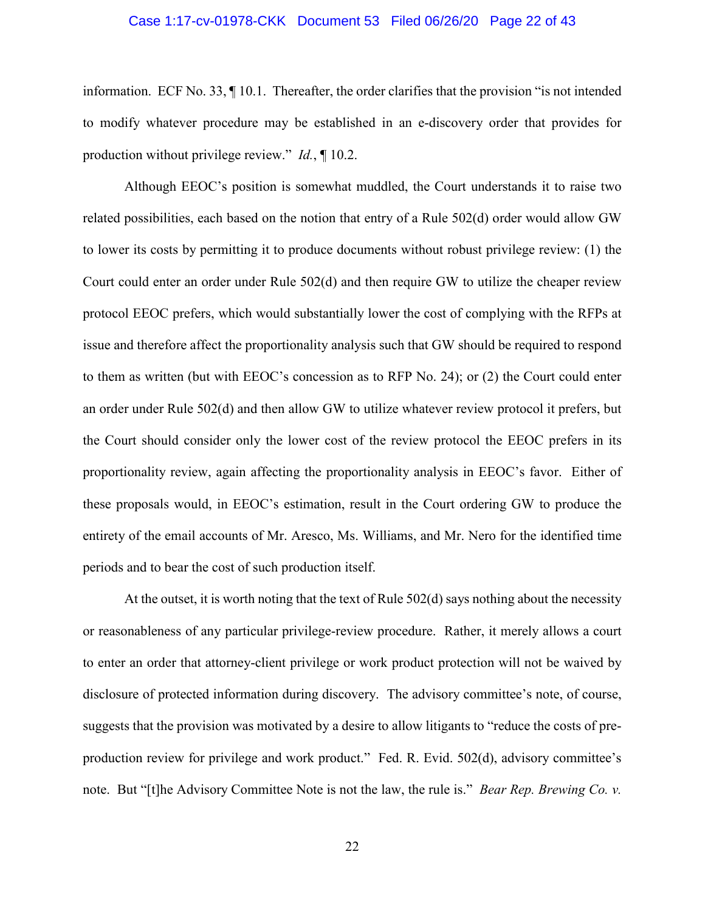#### Case 1:17-cv-01978-CKK Document 53 Filed 06/26/20 Page 22 of 43

information. ECF No. 33, ¶ 10.1. Thereafter, the order clarifies that the provision "is not intended to modify whatever procedure may be established in an e-discovery order that provides for production without privilege review." *Id.*, ¶ 10.2.

Although EEOC's position is somewhat muddled, the Court understands it to raise two related possibilities, each based on the notion that entry of a Rule 502(d) order would allow GW to lower its costs by permitting it to produce documents without robust privilege review: (1) the Court could enter an order under Rule 502(d) and then require GW to utilize the cheaper review protocol EEOC prefers, which would substantially lower the cost of complying with the RFPs at issue and therefore affect the proportionality analysis such that GW should be required to respond to them as written (but with EEOC's concession as to RFP No. 24); or (2) the Court could enter an order under Rule 502(d) and then allow GW to utilize whatever review protocol it prefers, but the Court should consider only the lower cost of the review protocol the EEOC prefers in its proportionality review, again affecting the proportionality analysis in EEOC's favor. Either of these proposals would, in EEOC's estimation, result in the Court ordering GW to produce the entirety of the email accounts of Mr. Aresco, Ms. Williams, and Mr. Nero for the identified time periods and to bear the cost of such production itself.

At the outset, it is worth noting that the text of Rule 502(d) says nothing about the necessity or reasonableness of any particular privilege-review procedure. Rather, it merely allows a court to enter an order that attorney-client privilege or work product protection will not be waived by disclosure of protected information during discovery. The advisory committee's note, of course, suggests that the provision was motivated by a desire to allow litigants to "reduce the costs of preproduction review for privilege and work product." Fed. R. Evid. 502(d), advisory committee's note. But "[t]he Advisory Committee Note is not the law, the rule is." *Bear Rep. Brewing Co. v.*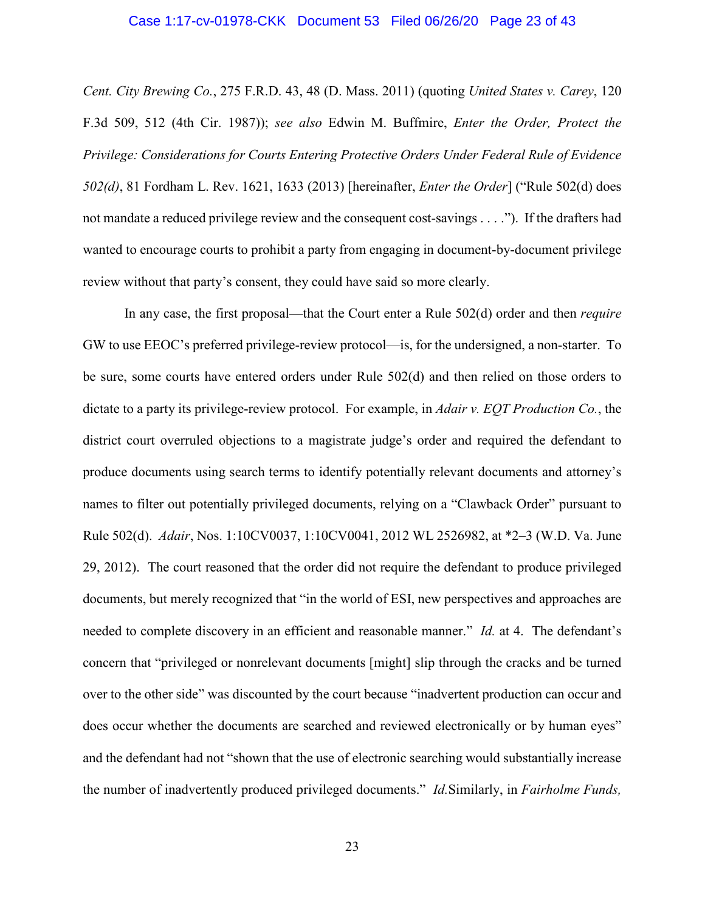#### Case 1:17-cv-01978-CKK Document 53 Filed 06/26/20 Page 23 of 43

*Cent. City Brewing Co.*, 275 F.R.D. 43, 48 (D. Mass. 2011) (quoting *United States v. Carey*, 120 F.3d 509, 512 (4th Cir. 1987)); *see also* Edwin M. Buffmire, *Enter the Order, Protect the Privilege: Considerations for Courts Entering Protective Orders Under Federal Rule of Evidence 502(d)*, 81 Fordham L. Rev. 1621, 1633 (2013) [hereinafter, *Enter the Order*] ("Rule 502(d) does not mandate a reduced privilege review and the consequent cost-savings . . . ."). If the drafters had wanted to encourage courts to prohibit a party from engaging in document-by-document privilege review without that party's consent, they could have said so more clearly.

In any case, the first proposal—that the Court enter a Rule 502(d) order and then *require* GW to use EEOC's preferred privilege-review protocol—is, for the undersigned, a non-starter. To be sure, some courts have entered orders under Rule 502(d) and then relied on those orders to dictate to a party its privilege-review protocol. For example, in *Adair v. EQT Production Co.*, the district court overruled objections to a magistrate judge's order and required the defendant to produce documents using search terms to identify potentially relevant documents and attorney's names to filter out potentially privileged documents, relying on a "Clawback Order" pursuant to Rule 502(d). *Adair*, Nos. 1:10CV0037, 1:10CV0041, 2012 WL 2526982, at \*2–3 (W.D. Va. June 29, 2012). The court reasoned that the order did not require the defendant to produce privileged documents, but merely recognized that "in the world of ESI, new perspectives and approaches are needed to complete discovery in an efficient and reasonable manner." *Id.* at 4. The defendant's concern that "privileged or nonrelevant documents [might] slip through the cracks and be turned over to the other side" was discounted by the court because "inadvertent production can occur and does occur whether the documents are searched and reviewed electronically or by human eyes" and the defendant had not "shown that the use of electronic searching would substantially increase the number of inadvertently produced privileged documents." *Id.*Similarly, in *Fairholme Funds,*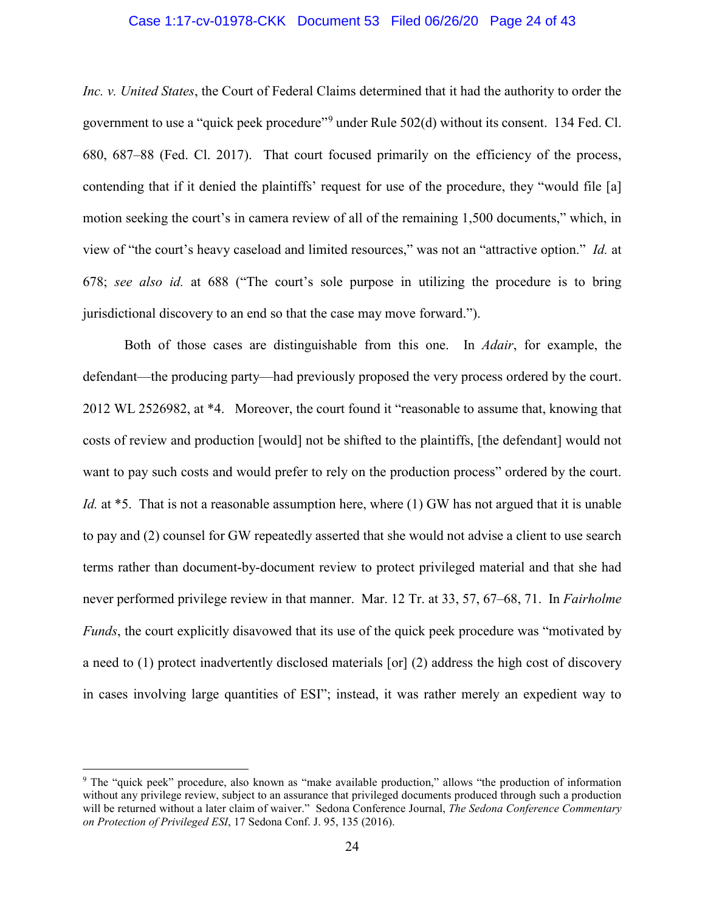# Case 1:17-cv-01978-CKK Document 53 Filed 06/26/20 Page 24 of 43

*Inc. v. United States*, the Court of Federal Claims determined that it had the authority to order the government to use a "quick peek procedure"[9](#page-23-0) under Rule 502(d) without its consent. 134 Fed. Cl. 680, 687–88 (Fed. Cl. 2017). That court focused primarily on the efficiency of the process, contending that if it denied the plaintiffs' request for use of the procedure, they "would file [a] motion seeking the court's in camera review of all of the remaining 1,500 documents," which, in view of "the court's heavy caseload and limited resources," was not an "attractive option." *Id.* at 678; *see also id.* at 688 ("The court's sole purpose in utilizing the procedure is to bring jurisdictional discovery to an end so that the case may move forward.").

Both of those cases are distinguishable from this one. In *Adair*, for example, the defendant—the producing party—had previously proposed the very process ordered by the court. 2012 WL 2526982, at \*4. Moreover, the court found it "reasonable to assume that, knowing that costs of review and production [would] not be shifted to the plaintiffs, [the defendant] would not want to pay such costs and would prefer to rely on the production process" ordered by the court. *Id.* at \*5. That is not a reasonable assumption here, where (1) GW has not argued that it is unable to pay and (2) counsel for GW repeatedly asserted that she would not advise a client to use search terms rather than document-by-document review to protect privileged material and that she had never performed privilege review in that manner. Mar. 12 Tr. at 33, 57, 67–68, 71. In *Fairholme Funds*, the court explicitly disavowed that its use of the quick peek procedure was "motivated by a need to (1) protect inadvertently disclosed materials [or] (2) address the high cost of discovery in cases involving large quantities of ESI"; instead, it was rather merely an expedient way to

<span id="page-23-0"></span><sup>9</sup> The "quick peek" procedure, also known as "make available production," allows "the production of information without any privilege review, subject to an assurance that privileged documents produced through such a production will be returned without a later claim of waiver." Sedona Conference Journal, *The Sedona Conference Commentary on Protection of Privileged ESI*, 17 Sedona Conf. J. 95, 135 (2016).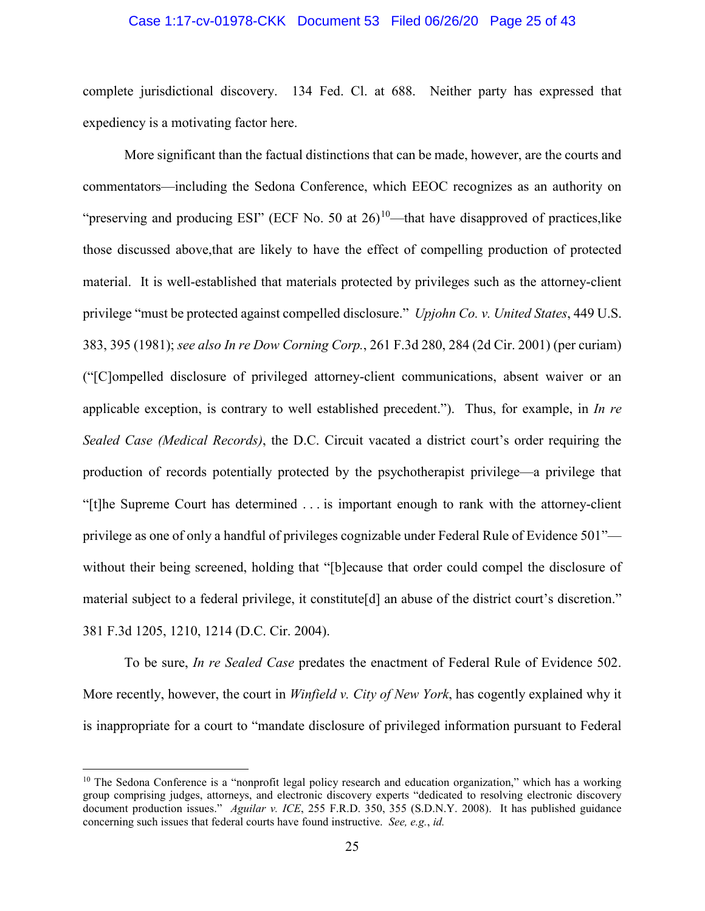# Case 1:17-cv-01978-CKK Document 53 Filed 06/26/20 Page 25 of 43

complete jurisdictional discovery. 134 Fed. Cl. at 688. Neither party has expressed that expediency is a motivating factor here.

More significant than the factual distinctions that can be made, however, are the courts and commentators—including the Sedona Conference, which EEOC recognizes as an authority on "preserving and producing ESI" (ECF No. 50 at  $26$ )<sup>[10](#page-24-0)</sup>—that have disapproved of practices, like those discussed above,that are likely to have the effect of compelling production of protected material. It is well-established that materials protected by privileges such as the attorney-client privilege "must be protected against compelled disclosure." *Upjohn Co. v. United States*, 449 U.S. 383, 395 (1981); *see also In re Dow Corning Corp.*, 261 F.3d 280, 284 (2d Cir. 2001) (per curiam) ("[C]ompelled disclosure of privileged attorney-client communications, absent waiver or an applicable exception, is contrary to well established precedent."). Thus, for example, in *In re Sealed Case (Medical Records)*, the D.C. Circuit vacated a district court's order requiring the production of records potentially protected by the psychotherapist privilege—a privilege that "[t]he Supreme Court has determined . . . is important enough to rank with the attorney-client privilege as one of only a handful of privileges cognizable under Federal Rule of Evidence 501" without their being screened, holding that "[b]ecause that order could compel the disclosure of material subject to a federal privilege, it constitute[d] an abuse of the district court's discretion." 381 F.3d 1205, 1210, 1214 (D.C. Cir. 2004).

To be sure, *In re Sealed Case* predates the enactment of Federal Rule of Evidence 502. More recently, however, the court in *Winfield v. City of New York*, has cogently explained why it is inappropriate for a court to "mandate disclosure of privileged information pursuant to Federal

<span id="page-24-0"></span><sup>&</sup>lt;sup>10</sup> The Sedona Conference is a "nonprofit legal policy research and education organization," which has a working group comprising judges, attorneys, and electronic discovery experts "dedicated to resolving electronic discovery document production issues." *Aguilar v. ICE*, 255 F.R.D. 350, 355 (S.D.N.Y. 2008). It has published guidance concerning such issues that federal courts have found instructive. *See, e.g.*, *id.*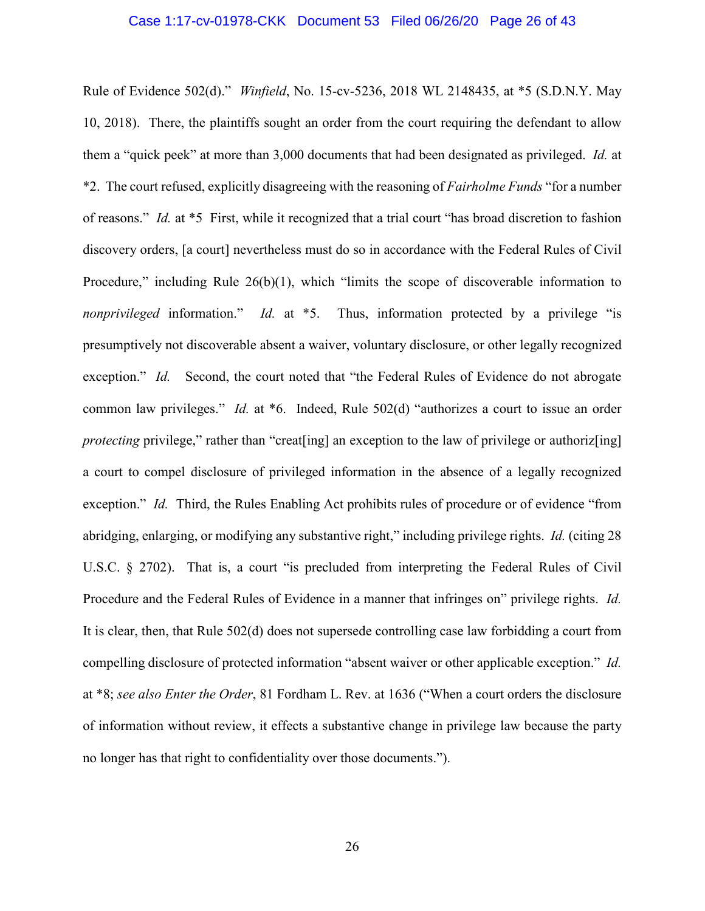#### Case 1:17-cv-01978-CKK Document 53 Filed 06/26/20 Page 26 of 43

Rule of Evidence 502(d)." *Winfield*, No. 15-cv-5236, 2018 WL 2148435, at \*5 (S.D.N.Y. May 10, 2018). There, the plaintiffs sought an order from the court requiring the defendant to allow them a "quick peek" at more than 3,000 documents that had been designated as privileged. *Id.* at \*2. The court refused, explicitly disagreeing with the reasoning of *Fairholme Funds* "for a number of reasons." *Id.* at \*5 First, while it recognized that a trial court "has broad discretion to fashion discovery orders, [a court] nevertheless must do so in accordance with the Federal Rules of Civil Procedure," including Rule 26(b)(1), which "limits the scope of discoverable information to *nonprivileged* information." *Id.* at \*5. Thus, information protected by a privilege "is presumptively not discoverable absent a waiver, voluntary disclosure, or other legally recognized exception." *Id.* Second, the court noted that "the Federal Rules of Evidence do not abrogate common law privileges." *Id.* at \*6. Indeed, Rule 502(d) "authorizes a court to issue an order *protecting* privilege," rather than "creat [ing] an exception to the law of privilege or authoriz [ing] a court to compel disclosure of privileged information in the absence of a legally recognized exception." *Id.* Third, the Rules Enabling Act prohibits rules of procedure or of evidence "from abridging, enlarging, or modifying any substantive right," including privilege rights. *Id.* (citing 28 U.S.C. § 2702). That is, a court "is precluded from interpreting the Federal Rules of Civil Procedure and the Federal Rules of Evidence in a manner that infringes on" privilege rights. *Id.* It is clear, then, that Rule 502(d) does not supersede controlling case law forbidding a court from compelling disclosure of protected information "absent waiver or other applicable exception." *Id.* at \*8; *see also Enter the Order*, 81 Fordham L. Rev. at 1636 ("When a court orders the disclosure of information without review, it effects a substantive change in privilege law because the party no longer has that right to confidentiality over those documents.").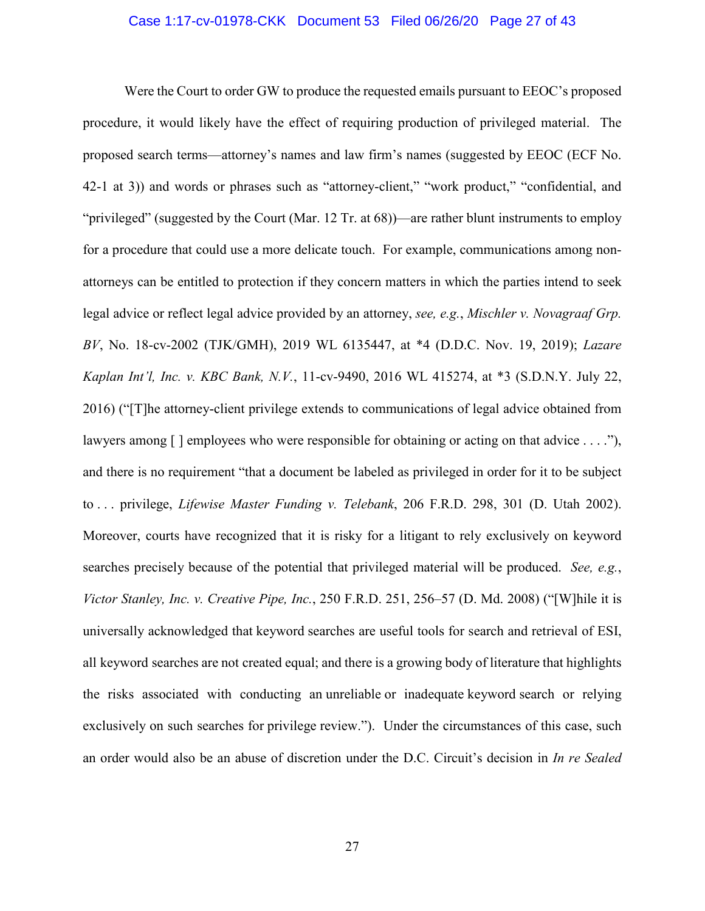# Case 1:17-cv-01978-CKK Document 53 Filed 06/26/20 Page 27 of 43

Were the Court to order GW to produce the requested emails pursuant to EEOC's proposed procedure, it would likely have the effect of requiring production of privileged material. The proposed search terms—attorney's names and law firm's names (suggested by EEOC (ECF No. 42-1 at 3)) and words or phrases such as "attorney-client," "work product," "confidential, and "privileged" (suggested by the Court (Mar. 12 Tr. at 68))—are rather blunt instruments to employ for a procedure that could use a more delicate touch. For example, communications among nonattorneys can be entitled to protection if they concern matters in which the parties intend to seek legal advice or reflect legal advice provided by an attorney, *see, e.g.*, *Mischler v. Novagraaf Grp. BV*, No. 18-cv-2002 (TJK/GMH), 2019 WL 6135447, at \*4 (D.D.C. Nov. 19, 2019); *Lazare Kaplan Int'l, Inc. v. KBC Bank, N.V.*, 11-cv-9490, 2016 WL 415274, at \*3 (S.D.N.Y. July 22, 2016) ("[T]he attorney-client privilege extends to communications of legal advice obtained from lawyers among [] employees who were responsible for obtaining or acting on that advice . . . ."), and there is no requirement "that a document be labeled as privileged in order for it to be subject to . . . privilege, *Lifewise Master Funding v. Telebank*, 206 F.R.D. 298, 301 (D. Utah 2002). Moreover, courts have recognized that it is risky for a litigant to rely exclusively on keyword searches precisely because of the potential that privileged material will be produced. *See, e.g.*, *Victor Stanley, Inc. v. Creative Pipe, Inc.*, 250 F.R.D. 251, 256–57 (D. Md. 2008) ("[W]hile it is universally acknowledged that keyword searches are useful tools for search and retrieval of ESI, all keyword searches are not created equal; and there is a growing body of literature that highlights the risks associated with conducting an unreliable or inadequate keyword search or relying exclusively on such searches for privilege review."). Under the circumstances of this case, such an order would also be an abuse of discretion under the D.C. Circuit's decision in *In re Sealed*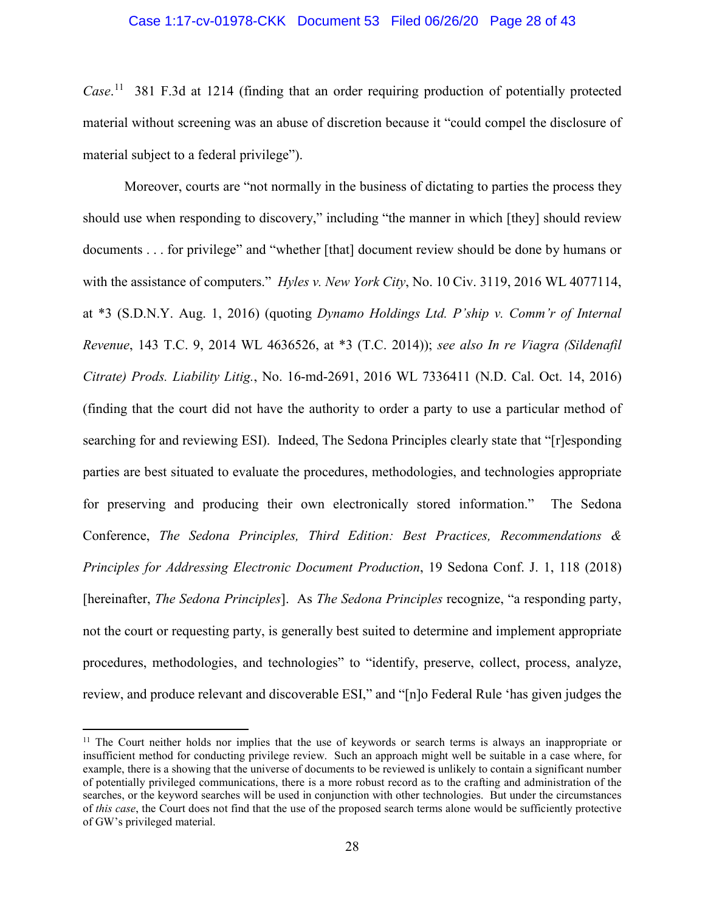# Case 1:17-cv-01978-CKK Document 53 Filed 06/26/20 Page 28 of 43

*Case*. [11](#page-27-0) 381 F.3d at 1214 (finding that an order requiring production of potentially protected material without screening was an abuse of discretion because it "could compel the disclosure of material subject to a federal privilege").

Moreover, courts are "not normally in the business of dictating to parties the process they should use when responding to discovery," including "the manner in which [they] should review documents . . . for privilege" and "whether [that] document review should be done by humans or with the assistance of computers." *Hyles v. New York City*, No. 10 Civ. 3119, 2016 WL 4077114, at \*3 (S.D.N.Y. Aug. 1, 2016) (quoting *Dynamo Holdings Ltd. P'ship v. Comm'r of Internal Revenue*, 143 T.C. 9, 2014 WL 4636526, at \*3 (T.C. 2014)); *see also In re Viagra (Sildenafil Citrate) Prods. Liability Litig.*, No. 16-md-2691, 2016 WL 7336411 (N.D. Cal. Oct. 14, 2016) (finding that the court did not have the authority to order a party to use a particular method of searching for and reviewing ESI). Indeed, The Sedona Principles clearly state that "[r]esponding parties are best situated to evaluate the procedures, methodologies, and technologies appropriate for preserving and producing their own electronically stored information." The Sedona Conference, *The Sedona Principles, Third Edition: Best Practices, Recommendations & Principles for Addressing Electronic Document Production*, 19 Sedona Conf. J. 1, 118 (2018) [hereinafter, *The Sedona Principles*]. As *The Sedona Principles* recognize, "a responding party, not the court or requesting party, is generally best suited to determine and implement appropriate procedures, methodologies, and technologies" to "identify, preserve, collect, process, analyze, review, and produce relevant and discoverable ESI," and "[n]o Federal Rule 'has given judges the

<span id="page-27-0"></span><sup>&</sup>lt;sup>11</sup> The Court neither holds nor implies that the use of keywords or search terms is always an inappropriate or insufficient method for conducting privilege review. Such an approach might well be suitable in a case where, for example, there is a showing that the universe of documents to be reviewed is unlikely to contain a significant number of potentially privileged communications, there is a more robust record as to the crafting and administration of the searches, or the keyword searches will be used in conjunction with other technologies. But under the circumstances of *this case*, the Court does not find that the use of the proposed search terms alone would be sufficiently protective of GW's privileged material.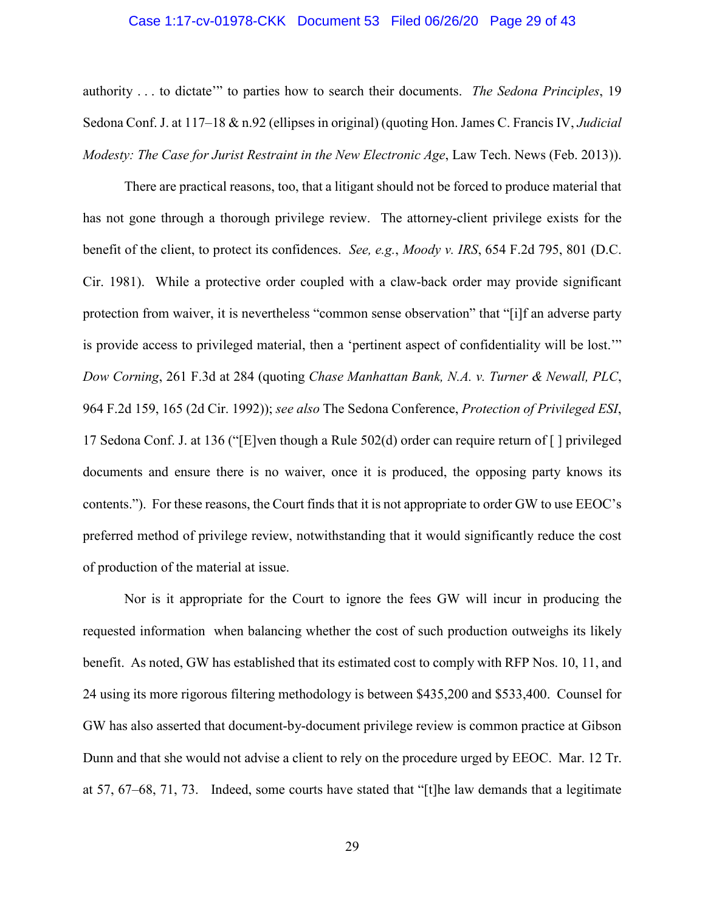# Case 1:17-cv-01978-CKK Document 53 Filed 06/26/20 Page 29 of 43

authority . . . to dictate'" to parties how to search their documents. *The Sedona Principles*, 19 Sedona Conf. J. at 117–18 & n.92 (ellipses in original) (quoting Hon. James C. Francis IV, *Judicial Modesty: The Case for Jurist Restraint in the New Electronic Age*, Law Tech. News (Feb. 2013)).

There are practical reasons, too, that a litigant should not be forced to produce material that has not gone through a thorough privilege review. The attorney-client privilege exists for the benefit of the client, to protect its confidences. *See, e.g.*, *Moody v. IRS*, 654 F.2d 795, 801 (D.C. Cir. 1981).While a protective order coupled with a claw-back order may provide significant protection from waiver, it is nevertheless "common sense observation" that "[i]f an adverse party is provide access to privileged material, then a 'pertinent aspect of confidentiality will be lost.'" *Dow Corning*, 261 F.3d at 284 (quoting *Chase Manhattan Bank, N.A. v. Turner & Newall, PLC*, 964 F.2d 159, 165 (2d Cir. 1992)); *see also* The Sedona Conference, *Protection of Privileged ESI*, 17 Sedona Conf. J. at 136 ("[E]ven though a Rule 502(d) order can require return of [ ] privileged documents and ensure there is no waiver, once it is produced, the opposing party knows its contents."). For these reasons, the Court finds that it is not appropriate to order GW to use EEOC's preferred method of privilege review, notwithstanding that it would significantly reduce the cost of production of the material at issue.

Nor is it appropriate for the Court to ignore the fees GW will incur in producing the requested information when balancing whether the cost of such production outweighs its likely benefit. As noted, GW has established that its estimated cost to comply with RFP Nos. 10, 11, and 24 using its more rigorous filtering methodology is between \$435,200 and \$533,400. Counsel for GW has also asserted that document-by-document privilege review is common practice at Gibson Dunn and that she would not advise a client to rely on the procedure urged by EEOC. Mar. 12 Tr. at 57, 67–68, 71, 73. Indeed, some courts have stated that "[t]he law demands that a legitimate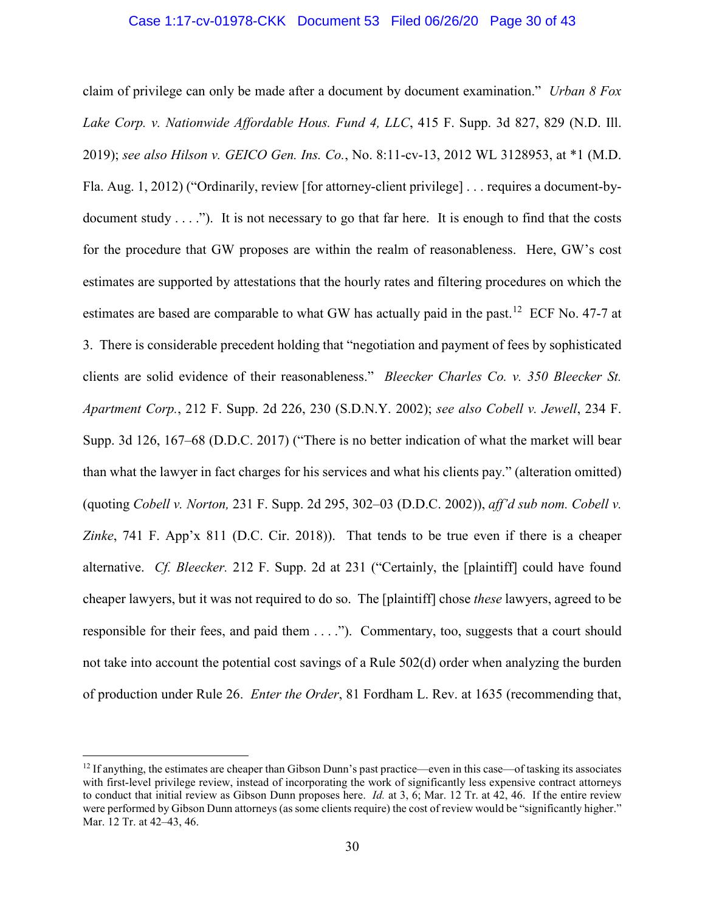# Case 1:17-cv-01978-CKK Document 53 Filed 06/26/20 Page 30 of 43

claim of privilege can only be made after a document by document examination." *Urban 8 Fox Lake Corp. v. Nationwide Affordable Hous. Fund 4, LLC*, 415 F. Supp. 3d 827, 829 (N.D. Ill. 2019); *see also Hilson v. GEICO Gen. Ins. Co.*, No. 8:11-cv-13, 2012 WL 3128953, at \*1 (M.D. Fla. Aug. 1, 2012) ("Ordinarily, review [for attorney-client privilege] . . . requires a document-bydocument study  $\dots$ "). It is not necessary to go that far here. It is enough to find that the costs for the procedure that GW proposes are within the realm of reasonableness. Here, GW's cost estimates are supported by attestations that the hourly rates and filtering procedures on which the estimates are based are comparable to what GW has actually paid in the past.<sup>12</sup> ECF No. 47-7 at 3. There is considerable precedent holding that "negotiation and payment of fees by sophisticated clients are solid evidence of their reasonableness." *Bleecker Charles Co. v. 350 Bleecker St. Apartment Corp.*, 212 F. Supp. 2d 226, 230 (S.D.N.Y. 2002); *see also Cobell v. Jewell*, 234 F. Supp. 3d 126, 167–68 (D.D.C. 2017) ("There is no better indication of what the market will bear than what the lawyer in fact charges for his services and what his clients pay." (alteration omitted) (quoting *Cobell v. Norton,* 231 F. Supp. 2d 295, 302–03 (D.D.C. 2002)), *aff'd sub nom. Cobell v. Zinke*, 741 F. App'x 811 (D.C. Cir. 2018)). That tends to be true even if there is a cheaper alternative. *Cf. Bleecker.* 212 F. Supp. 2d at 231 ("Certainly, the [plaintiff] could have found cheaper lawyers, but it was not required to do so. The [plaintiff] chose *these* lawyers, agreed to be responsible for their fees, and paid them . . . ."). Commentary, too, suggests that a court should not take into account the potential cost savings of a Rule 502(d) order when analyzing the burden of production under Rule 26. *Enter the Order*, 81 Fordham L. Rev. at 1635 (recommending that,

 $\overline{\phantom{a}}$ 

<span id="page-29-0"></span> $12$  If anything, the estimates are cheaper than Gibson Dunn's past practice—even in this case—of tasking its associates with first-level privilege review, instead of incorporating the work of significantly less expensive contract attorneys to conduct that initial review as Gibson Dunn proposes here. *Id.* at 3, 6; Mar. 12 Tr. at 42, 46. If the entire review were performed by Gibson Dunn attorneys (as some clients require) the cost of review would be "significantly higher." Mar. 12 Tr. at 42–43, 46.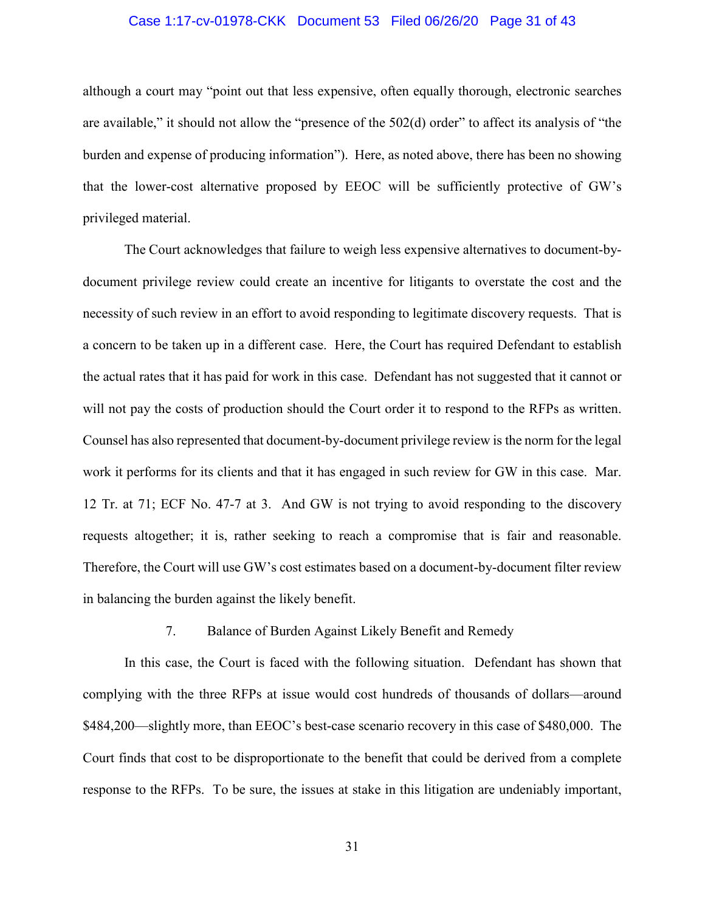# Case 1:17-cv-01978-CKK Document 53 Filed 06/26/20 Page 31 of 43

although a court may "point out that less expensive, often equally thorough, electronic searches are available," it should not allow the "presence of the 502(d) order" to affect its analysis of "the burden and expense of producing information"). Here, as noted above, there has been no showing that the lower-cost alternative proposed by EEOC will be sufficiently protective of GW's privileged material.

The Court acknowledges that failure to weigh less expensive alternatives to document-bydocument privilege review could create an incentive for litigants to overstate the cost and the necessity of such review in an effort to avoid responding to legitimate discovery requests. That is a concern to be taken up in a different case. Here, the Court has required Defendant to establish the actual rates that it has paid for work in this case. Defendant has not suggested that it cannot or will not pay the costs of production should the Court order it to respond to the RFPs as written. Counsel has also represented that document-by-document privilege review is the norm for the legal work it performs for its clients and that it has engaged in such review for GW in this case. Mar. 12 Tr. at 71; ECF No. 47-7 at 3. And GW is not trying to avoid responding to the discovery requests altogether; it is, rather seeking to reach a compromise that is fair and reasonable. Therefore, the Court will use GW's cost estimates based on a document-by-document filter review in balancing the burden against the likely benefit.

# 7. Balance of Burden Against Likely Benefit and Remedy

In this case, the Court is faced with the following situation. Defendant has shown that complying with the three RFPs at issue would cost hundreds of thousands of dollars—around \$484,200—slightly more, than EEOC's best-case scenario recovery in this case of \$480,000. The Court finds that cost to be disproportionate to the benefit that could be derived from a complete response to the RFPs. To be sure, the issues at stake in this litigation are undeniably important,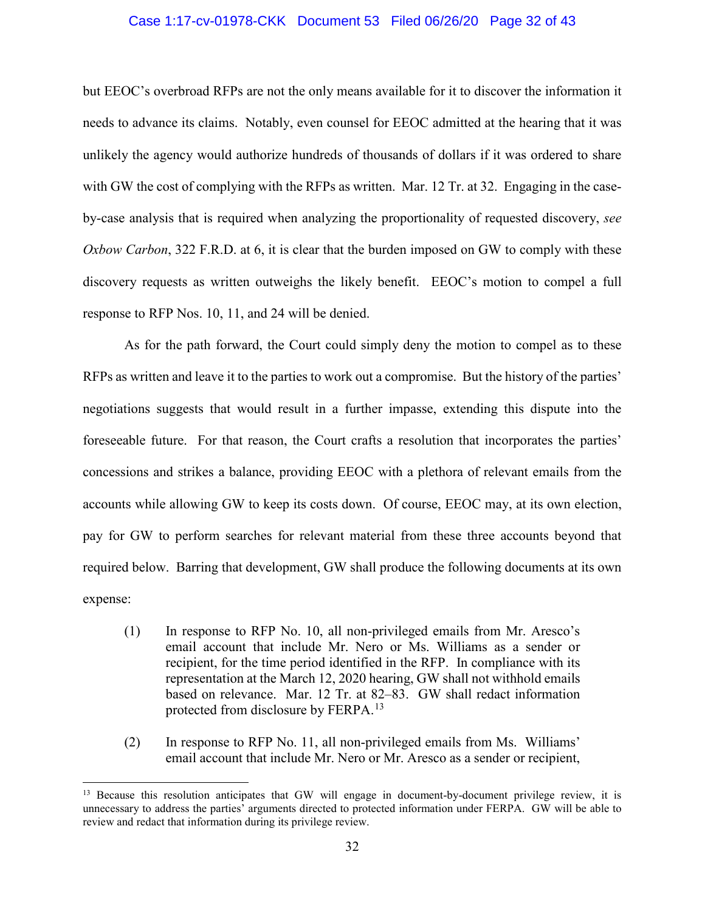# Case 1:17-cv-01978-CKK Document 53 Filed 06/26/20 Page 32 of 43

but EEOC's overbroad RFPs are not the only means available for it to discover the information it needs to advance its claims. Notably, even counsel for EEOC admitted at the hearing that it was unlikely the agency would authorize hundreds of thousands of dollars if it was ordered to share with GW the cost of complying with the RFPs as written. Mar. 12 Tr. at 32. Engaging in the caseby-case analysis that is required when analyzing the proportionality of requested discovery, *see Oxbow Carbon*, 322 F.R.D. at 6, it is clear that the burden imposed on GW to comply with these discovery requests as written outweighs the likely benefit. EEOC's motion to compel a full response to RFP Nos. 10, 11, and 24 will be denied.

As for the path forward, the Court could simply deny the motion to compel as to these RFPs as written and leave it to the parties to work out a compromise. But the history of the parties' negotiations suggests that would result in a further impasse, extending this dispute into the foreseeable future. For that reason, the Court crafts a resolution that incorporates the parties' concessions and strikes a balance, providing EEOC with a plethora of relevant emails from the accounts while allowing GW to keep its costs down. Of course, EEOC may, at its own election, pay for GW to perform searches for relevant material from these three accounts beyond that required below. Barring that development, GW shall produce the following documents at its own expense:

- (1) In response to RFP No. 10, all non-privileged emails from Mr. Aresco's email account that include Mr. Nero or Ms. Williams as a sender or recipient, for the time period identified in the RFP. In compliance with its representation at the March 12, 2020 hearing, GW shall not withhold emails based on relevance. Mar. 12 Tr. at 82–83. GW shall redact information protected from disclosure by FERPA.[13](#page-31-0)
- (2) In response to RFP No. 11, all non-privileged emails from Ms. Williams' email account that include Mr. Nero or Mr. Aresco as a sender or recipient,

<span id="page-31-0"></span><sup>&</sup>lt;sup>13</sup> Because this resolution anticipates that GW will engage in document-by-document privilege review, it is unnecessary to address the parties' arguments directed to protected information under FERPA. GW will be able to review and redact that information during its privilege review.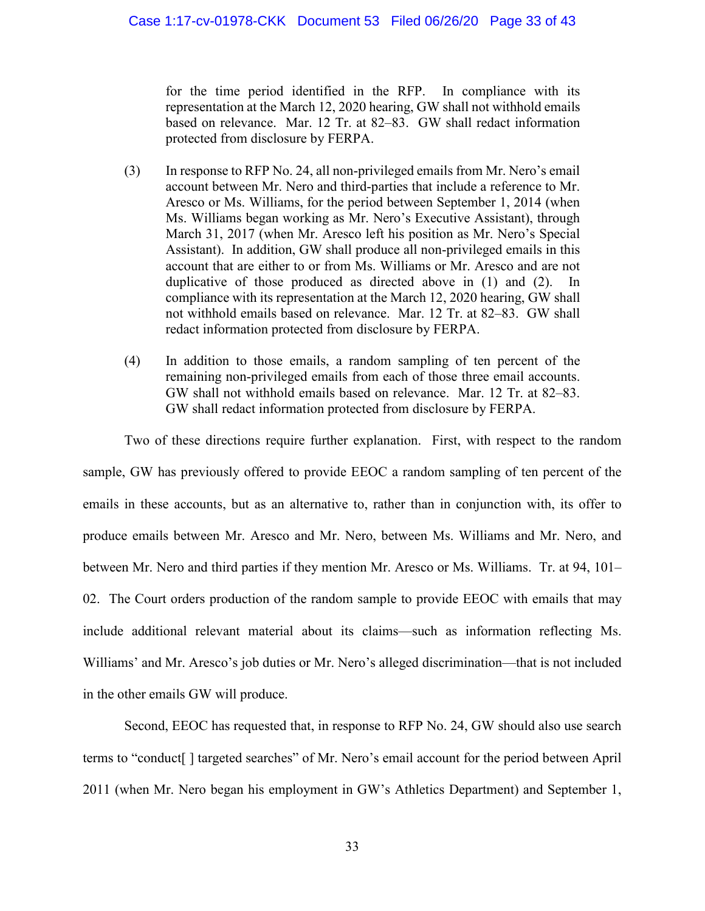for the time period identified in the RFP. In compliance with its representation at the March 12, 2020 hearing, GW shall not withhold emails based on relevance. Mar. 12 Tr. at 82–83. GW shall redact information protected from disclosure by FERPA.

- (3) In response to RFP No. 24, all non-privileged emails from Mr. Nero's email account between Mr. Nero and third-parties that include a reference to Mr. Aresco or Ms. Williams, for the period between September 1, 2014 (when Ms. Williams began working as Mr. Nero's Executive Assistant), through March 31, 2017 (when Mr. Aresco left his position as Mr. Nero's Special Assistant). In addition, GW shall produce all non-privileged emails in this account that are either to or from Ms. Williams or Mr. Aresco and are not duplicative of those produced as directed above in  $(1)$  and  $(2)$ . compliance with its representation at the March 12, 2020 hearing, GW shall not withhold emails based on relevance. Mar. 12 Tr. at 82–83. GW shall redact information protected from disclosure by FERPA.
- (4) In addition to those emails, a random sampling of ten percent of the remaining non-privileged emails from each of those three email accounts. GW shall not withhold emails based on relevance. Mar. 12 Tr. at 82–83. GW shall redact information protected from disclosure by FERPA.

Two of these directions require further explanation. First, with respect to the random sample, GW has previously offered to provide EEOC a random sampling of ten percent of the emails in these accounts, but as an alternative to, rather than in conjunction with, its offer to produce emails between Mr. Aresco and Mr. Nero, between Ms. Williams and Mr. Nero, and between Mr. Nero and third parties if they mention Mr. Aresco or Ms. Williams. Tr. at 94, 101– 02. The Court orders production of the random sample to provide EEOC with emails that may include additional relevant material about its claims—such as information reflecting Ms. Williams' and Mr. Aresco's job duties or Mr. Nero's alleged discrimination—that is not included in the other emails GW will produce.

Second, EEOC has requested that, in response to RFP No. 24, GW should also use search terms to "conduct[ ] targeted searches" of Mr. Nero's email account for the period between April 2011 (when Mr. Nero began his employment in GW's Athletics Department) and September 1,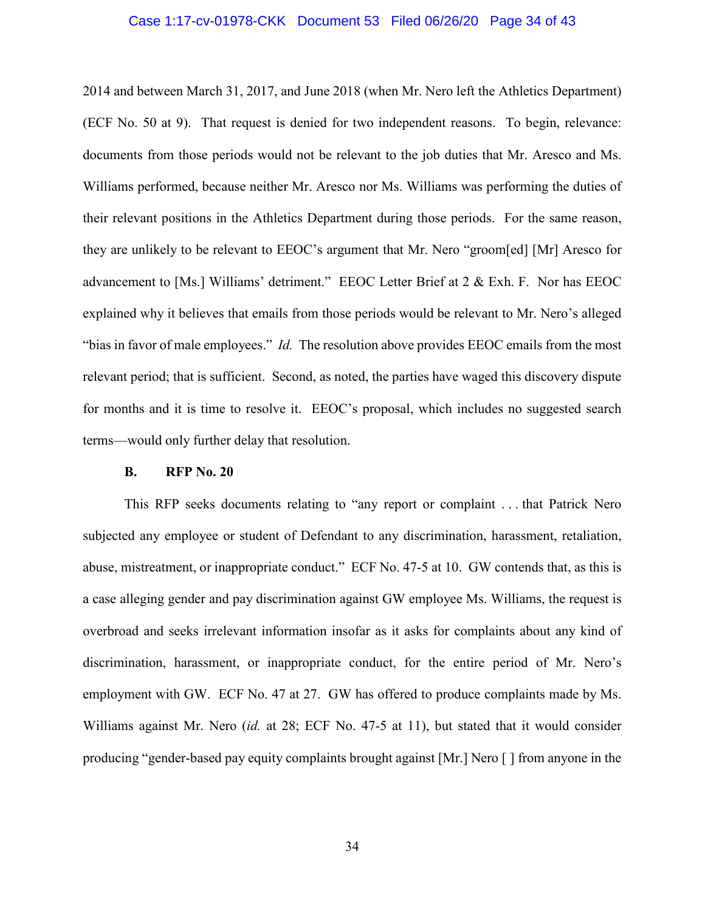#### Case 1:17-cv-01978-CKK Document 53 Filed 06/26/20 Page 34 of 43

2014 and between March 31, 2017, and June 2018 (when Mr. Nero left the Athletics Department) (ECF No. 50 at 9). That request is denied for two independent reasons. To begin, relevance: documents from those periods would not be relevant to the job duties that Mr. Aresco and Ms. Williams performed, because neither Mr. Aresco nor Ms. Williams was performing the duties of their relevant positions in the Athletics Department during those periods. For the same reason, they are unlikely to be relevant to EEOC's argument that Mr. Nero "groom[ed] [Mr] Aresco for advancement to [Ms.] Williams' detriment." EEOC Letter Brief at 2 & Exh. F. Nor has EEOC explained why it believes that emails from those periods would be relevant to Mr. Nero's alleged "bias in favor of male employees." *Id.* The resolution above provides EEOC emails from the most relevant period; that is sufficient. Second, as noted, the parties have waged this discovery dispute for months and it is time to resolve it. EEOC's proposal, which includes no suggested search terms—would only further delay that resolution.

#### **B. RFP No. 20**

This RFP seeks documents relating to "any report or complaint . . . that Patrick Nero subjected any employee or student of Defendant to any discrimination, harassment, retaliation, abuse, mistreatment, or inappropriate conduct." ECF No. 47-5 at 10. GW contends that, as this is a case alleging gender and pay discrimination against GW employee Ms. Williams, the request is overbroad and seeks irrelevant information insofar as it asks for complaints about any kind of discrimination, harassment, or inappropriate conduct, for the entire period of Mr. Nero's employment with GW. ECF No. 47 at 27. GW has offered to produce complaints made by Ms. Williams against Mr. Nero (*id.* at 28; ECF No. 47-5 at 11), but stated that it would consider producing "gender-based pay equity complaints brought against [Mr.] Nero [ ] from anyone in the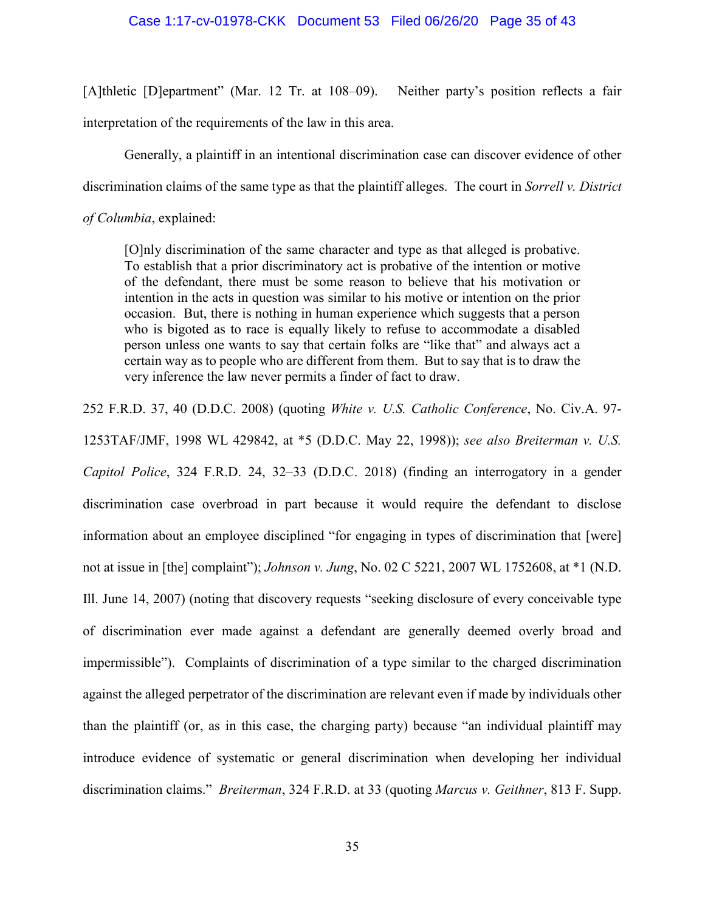#### Case 1:17-cv-01978-CKK Document 53 Filed 06/26/20 Page 35 of 43

[A]thletic [D]epartment" (Mar. 12 Tr. at 108–09). Neither party's position reflects a fair interpretation of the requirements of the law in this area.

Generally, a plaintiff in an intentional discrimination case can discover evidence of other discrimination claims of the same type as that the plaintiff alleges. The court in *Sorrell v. District* 

*of Columbia*, explained:

[O]nly discrimination of the same character and type as that alleged is probative. To establish that a prior discriminatory act is probative of the intention or motive of the defendant, there must be some reason to believe that his motivation or intention in the acts in question was similar to his motive or intention on the prior occasion. But, there is nothing in human experience which suggests that a person who is bigoted as to race is equally likely to refuse to accommodate a disabled person unless one wants to say that certain folks are "like that" and always act a certain way as to people who are different from them. But to say that is to draw the very inference the law never permits a finder of fact to draw.

252 F.R.D. 37, 40 (D.D.C. 2008) (quoting *White v. U.S. Catholic Conference*, No. Civ.A. 97-

1253TAF/JMF, 1998 WL 429842, at \*5 (D.D.C. May 22, 1998)); *see also Breiterman v. U.S. Capitol Police*, 324 F.R.D. 24, 32–33 (D.D.C. 2018) (finding an interrogatory in a gender discrimination case overbroad in part because it would require the defendant to disclose information about an employee disciplined "for engaging in types of discrimination that [were] not at issue in [the] complaint"); *Johnson v. Jung*, No. 02 C 5221, 2007 WL 1752608, at \*1 (N.D. Ill. June 14, 2007) (noting that discovery requests "seeking disclosure of every conceivable type of discrimination ever made against a defendant are generally deemed overly broad and impermissible"). Complaints of discrimination of a type similar to the charged discrimination against the alleged perpetrator of the discrimination are relevant even if made by individuals other than the plaintiff (or, as in this case, the charging party) because "an individual plaintiff may introduce evidence of systematic or general discrimination when developing her individual discrimination claims." *Breiterman*, 324 F.R.D. at 33 (quoting *Marcus v. Geithner*, 813 F. Supp.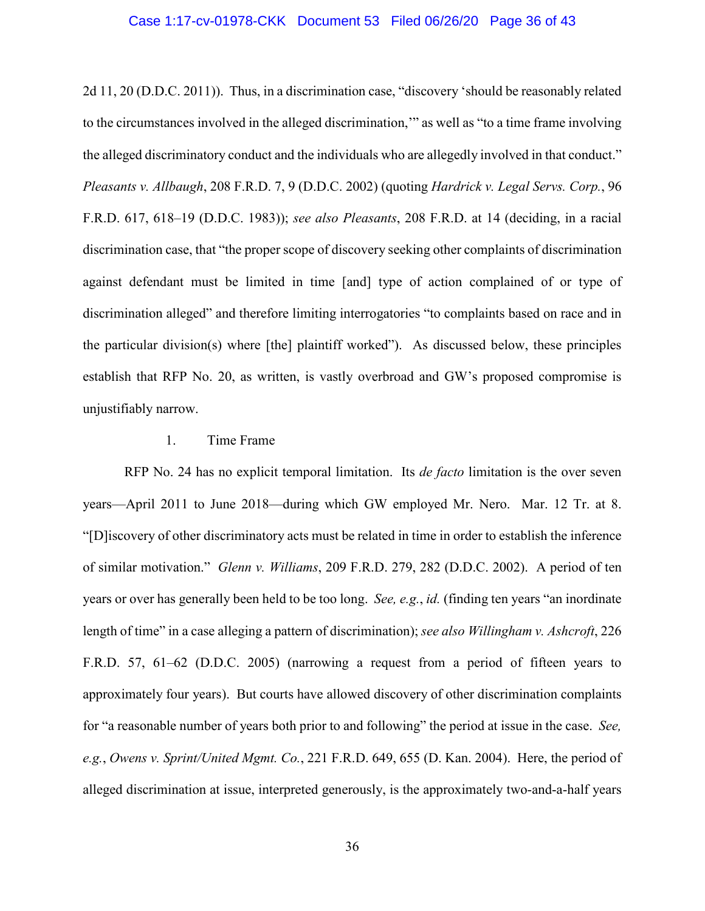## Case 1:17-cv-01978-CKK Document 53 Filed 06/26/20 Page 36 of 43

2d 11, 20 (D.D.C. 2011)). Thus, in a discrimination case, "discovery 'should be reasonably related to the circumstances involved in the alleged discrimination,'" as well as "to a time frame involving the alleged discriminatory conduct and the individuals who are allegedly involved in that conduct." *Pleasants v. Allbaugh*, 208 F.R.D. 7, 9 (D.D.C. 2002) (quoting *Hardrick v. Legal Servs. Corp.*, 96 F.R.D. 617, 618–19 (D.D.C. 1983)); *see also Pleasants*, 208 F.R.D. at 14 (deciding, in a racial discrimination case, that "the proper scope of discovery seeking other complaints of discrimination against defendant must be limited in time [and] type of action complained of or type of discrimination alleged" and therefore limiting interrogatories "to complaints based on race and in the particular division(s) where [the] plaintiff worked"). As discussed below, these principles establish that RFP No. 20, as written, is vastly overbroad and GW's proposed compromise is unjustifiably narrow.

# 1. Time Frame

RFP No. 24 has no explicit temporal limitation. Its *de facto* limitation is the over seven years—April 2011 to June 2018—during which GW employed Mr. Nero. Mar. 12 Tr. at 8. "[D]iscovery of other discriminatory acts must be related in time in order to establish the inference of similar motivation." *Glenn v. Williams*, 209 F.R.D. 279, 282 (D.D.C. 2002). A period of ten years or over has generally been held to be too long. *See, e.g.*, *id.* (finding ten years "an inordinate length of time" in a case alleging a pattern of discrimination); *see also Willingham v. Ashcroft*, 226 F.R.D. 57, 61–62 (D.D.C. 2005) (narrowing a request from a period of fifteen years to approximately four years). But courts have allowed discovery of other discrimination complaints for "a reasonable number of years both prior to and following" the period at issue in the case. *See, e.g.*, *Owens v. Sprint/United Mgmt. Co.*, 221 F.R.D. 649, 655 (D. Kan. 2004). Here, the period of alleged discrimination at issue, interpreted generously, is the approximately two-and-a-half years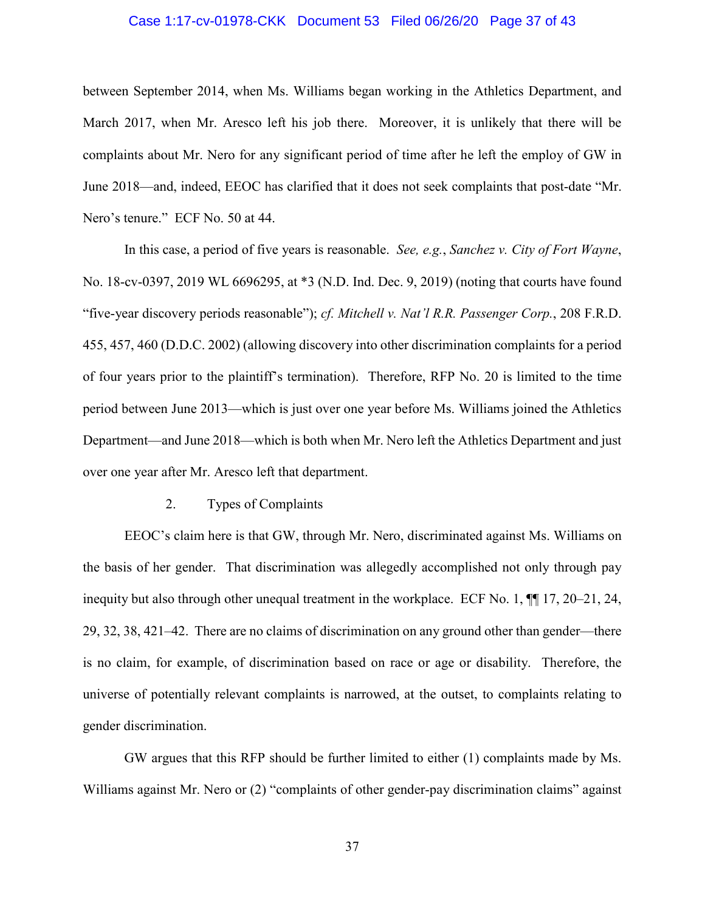# Case 1:17-cv-01978-CKK Document 53 Filed 06/26/20 Page 37 of 43

between September 2014, when Ms. Williams began working in the Athletics Department, and March 2017, when Mr. Aresco left his job there. Moreover, it is unlikely that there will be complaints about Mr. Nero for any significant period of time after he left the employ of GW in June 2018—and, indeed, EEOC has clarified that it does not seek complaints that post-date "Mr. Nero's tenure." ECF No. 50 at 44.

In this case, a period of five years is reasonable. *See, e.g.*, *Sanchez v. City of Fort Wayne*, No. 18-cv-0397, 2019 WL 6696295, at \*3 (N.D. Ind. Dec. 9, 2019) (noting that courts have found "five-year discovery periods reasonable"); *cf. Mitchell v. Nat'l R.R. Passenger Corp.*, 208 F.R.D. 455, 457, 460 (D.D.C. 2002) (allowing discovery into other discrimination complaints for a period of four years prior to the plaintiff's termination). Therefore, RFP No. 20 is limited to the time period between June 2013—which is just over one year before Ms. Williams joined the Athletics Department—and June 2018—which is both when Mr. Nero left the Athletics Department and just over one year after Mr. Aresco left that department.

#### 2. Types of Complaints

EEOC's claim here is that GW, through Mr. Nero, discriminated against Ms. Williams on the basis of her gender. That discrimination was allegedly accomplished not only through pay inequity but also through other unequal treatment in the workplace. ECF No. 1, ¶¶ 17, 20–21, 24, 29, 32, 38, 421–42. There are no claims of discrimination on any ground other than gender—there is no claim, for example, of discrimination based on race or age or disability. Therefore, the universe of potentially relevant complaints is narrowed, at the outset, to complaints relating to gender discrimination.

GW argues that this RFP should be further limited to either (1) complaints made by Ms. Williams against Mr. Nero or (2) "complaints of other gender-pay discrimination claims" against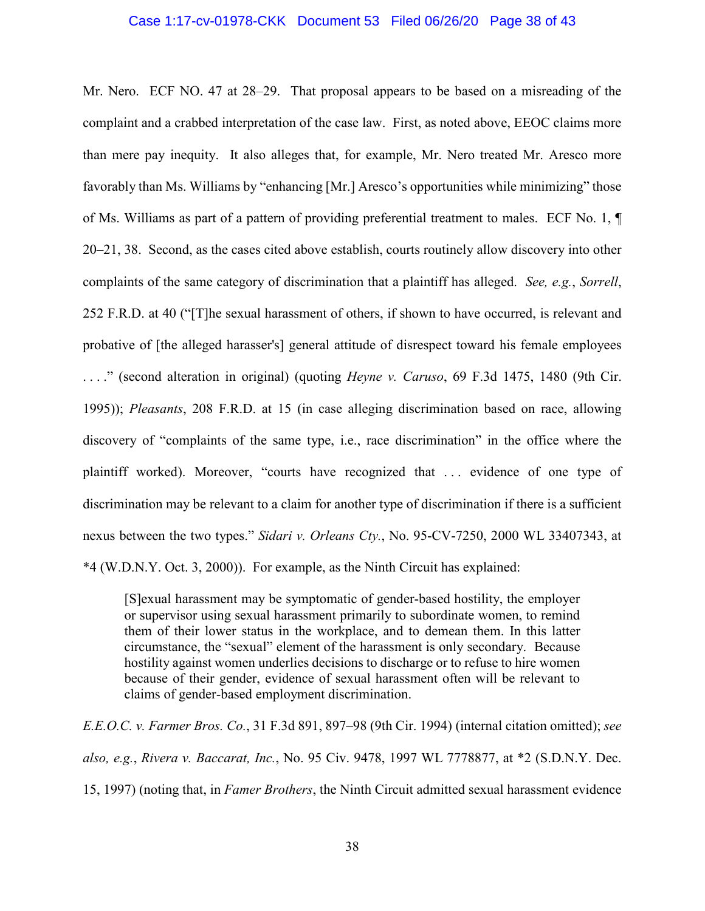#### Case 1:17-cv-01978-CKK Document 53 Filed 06/26/20 Page 38 of 43

Mr. Nero. ECF NO. 47 at 28–29. That proposal appears to be based on a misreading of the complaint and a crabbed interpretation of the case law. First, as noted above, EEOC claims more than mere pay inequity. It also alleges that, for example, Mr. Nero treated Mr. Aresco more favorably than Ms. Williams by "enhancing [Mr.] Aresco's opportunities while minimizing" those of Ms. Williams as part of a pattern of providing preferential treatment to males. ECF No. 1, ¶ 20–21, 38. Second, as the cases cited above establish, courts routinely allow discovery into other complaints of the same category of discrimination that a plaintiff has alleged. *See, e.g.*, *Sorrell*, 252 F.R.D. at 40 ("[T]he sexual harassment of others, if shown to have occurred, is relevant and probative of [the alleged harasser's] general attitude of disrespect toward his female employees . . . ." (second alteration in original) (quoting *Heyne v. Caruso*, 69 F.3d 1475, 1480 (9th Cir. 1995)); *Pleasants*, 208 F.R.D. at 15 (in case alleging discrimination based on race, allowing discovery of "complaints of the same type, i.e., race discrimination" in the office where the plaintiff worked). Moreover, "courts have recognized that . . . evidence of one type of discrimination may be relevant to a claim for another type of discrimination if there is a sufficient nexus between the two types." *Sidari v. Orleans Cty.*, No. 95-CV-7250, 2000 WL 33407343, at \*4 (W.D.N.Y. Oct. 3, 2000)). For example, as the Ninth Circuit has explained:

[S]exual harassment may be symptomatic of gender-based hostility, the employer or supervisor using sexual harassment primarily to subordinate women, to remind them of their lower status in the workplace, and to demean them. In this latter circumstance, the "sexual" element of the harassment is only secondary. Because hostility against women underlies decisions to discharge or to refuse to hire women because of their gender, evidence of sexual harassment often will be relevant to claims of gender-based employment discrimination.

*E.E.O.C. v. Farmer Bros. Co.*, 31 F.3d 891, 897–98 (9th Cir. 1994) (internal citation omitted); *see also, e.g.*, *Rivera v. Baccarat, Inc.*, No. 95 Civ. 9478, 1997 WL 7778877, at \*2 (S.D.N.Y. Dec. 15, 1997) (noting that, in *Famer Brothers*, the Ninth Circuit admitted sexual harassment evidence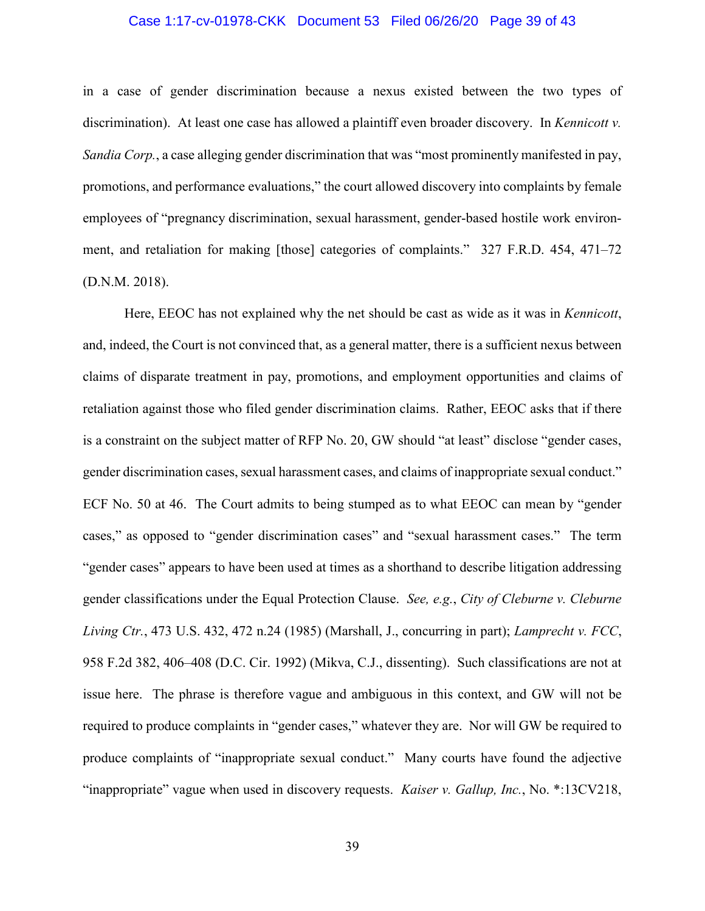# Case 1:17-cv-01978-CKK Document 53 Filed 06/26/20 Page 39 of 43

in a case of gender discrimination because a nexus existed between the two types of discrimination). At least one case has allowed a plaintiff even broader discovery. In *Kennicott v. Sandia Corp.*, a case alleging gender discrimination that was "most prominently manifested in pay, promotions, and performance evaluations," the court allowed discovery into complaints by female employees of "pregnancy discrimination, sexual harassment, gender-based hostile work environment, and retaliation for making [those] categories of complaints." 327 F.R.D. 454, 471–72 (D.N.M. 2018).

Here, EEOC has not explained why the net should be cast as wide as it was in *Kennicott*, and, indeed, the Court is not convinced that, as a general matter, there is a sufficient nexus between claims of disparate treatment in pay, promotions, and employment opportunities and claims of retaliation against those who filed gender discrimination claims. Rather, EEOC asks that if there is a constraint on the subject matter of RFP No. 20, GW should "at least" disclose "gender cases, gender discrimination cases, sexual harassment cases, and claims of inappropriate sexual conduct." ECF No. 50 at 46. The Court admits to being stumped as to what EEOC can mean by "gender cases," as opposed to "gender discrimination cases" and "sexual harassment cases." The term "gender cases" appears to have been used at times as a shorthand to describe litigation addressing gender classifications under the Equal Protection Clause. *See, e.g.*, *City of Cleburne v. Cleburne Living Ctr.*, 473 U.S. 432, 472 n.24 (1985) (Marshall, J., concurring in part); *Lamprecht v. FCC*, 958 F.2d 382, 406–408 (D.C. Cir. 1992) (Mikva, C.J., dissenting). Such classifications are not at issue here. The phrase is therefore vague and ambiguous in this context, and GW will not be required to produce complaints in "gender cases," whatever they are. Nor will GW be required to produce complaints of "inappropriate sexual conduct." Many courts have found the adjective "inappropriate" vague when used in discovery requests. *Kaiser v. Gallup, Inc.*, No. \*:13CV218,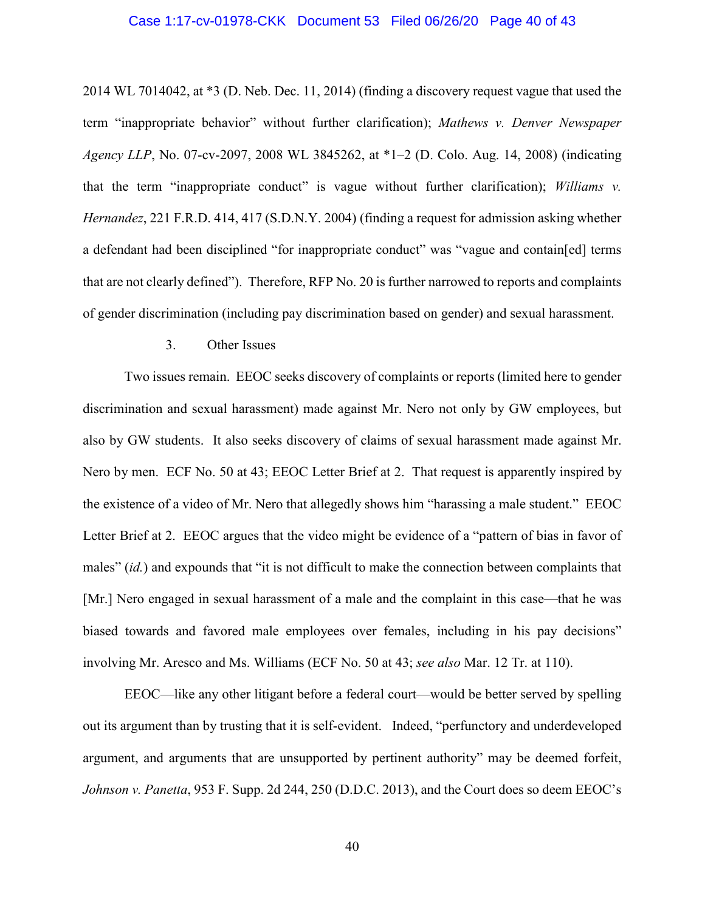#### Case 1:17-cv-01978-CKK Document 53 Filed 06/26/20 Page 40 of 43

2014 WL 7014042, at \*3 (D. Neb. Dec. 11, 2014) (finding a discovery request vague that used the term "inappropriate behavior" without further clarification); *Mathews v. Denver Newspaper Agency LLP*, No. 07-cv-2097, 2008 WL 3845262, at \*1–2 (D. Colo. Aug. 14, 2008) (indicating that the term "inappropriate conduct" is vague without further clarification); *Williams v. Hernandez*, 221 F.R.D. 414, 417 (S.D.N.Y. 2004) (finding a request for admission asking whether a defendant had been disciplined "for inappropriate conduct" was "vague and contain[ed] terms that are not clearly defined"). Therefore, RFP No. 20 is further narrowed to reports and complaints of gender discrimination (including pay discrimination based on gender) and sexual harassment.

## 3. Other Issues

Two issues remain. EEOC seeks discovery of complaints or reports (limited here to gender discrimination and sexual harassment) made against Mr. Nero not only by GW employees, but also by GW students. It also seeks discovery of claims of sexual harassment made against Mr. Nero by men. ECF No. 50 at 43; EEOC Letter Brief at 2. That request is apparently inspired by the existence of a video of Mr. Nero that allegedly shows him "harassing a male student." EEOC Letter Brief at 2. EEOC argues that the video might be evidence of a "pattern of bias in favor of males" (*id.*) and expounds that "it is not difficult to make the connection between complaints that [Mr.] Nero engaged in sexual harassment of a male and the complaint in this case—that he was biased towards and favored male employees over females, including in his pay decisions" involving Mr. Aresco and Ms. Williams (ECF No. 50 at 43; *see also* Mar. 12 Tr. at 110).

EEOC—like any other litigant before a federal court—would be better served by spelling out its argument than by trusting that it is self-evident. Indeed, "perfunctory and underdeveloped argument, and arguments that are unsupported by pertinent authority" may be deemed forfeit, *Johnson v. Panetta*, 953 F. Supp. 2d 244, 250 (D.D.C. 2013), and the Court does so deem EEOC's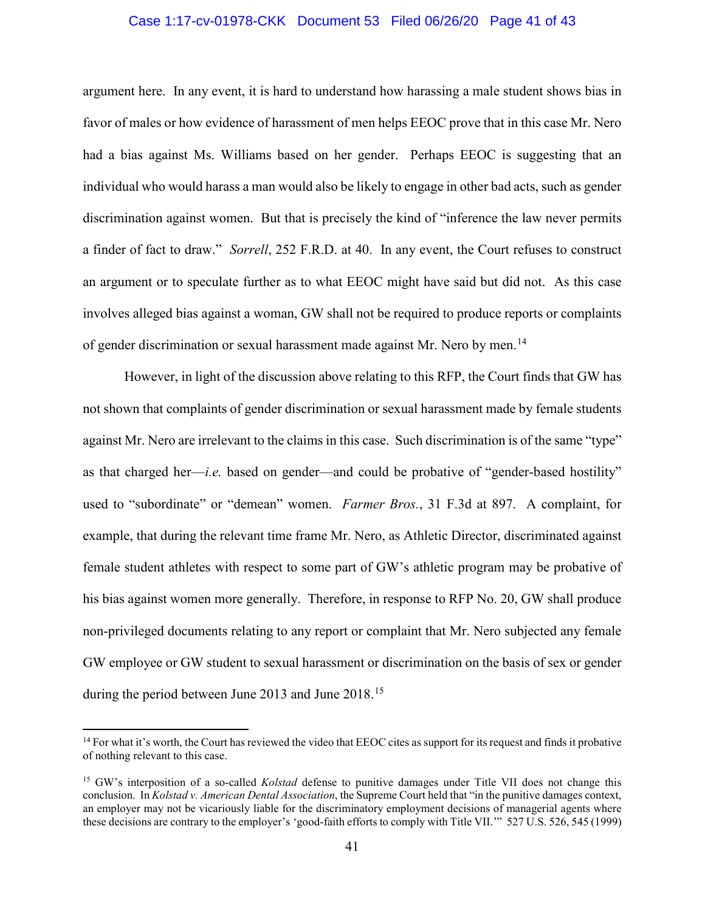# Case 1:17-cv-01978-CKK Document 53 Filed 06/26/20 Page 41 of 43

argument here. In any event, it is hard to understand how harassing a male student shows bias in favor of males or how evidence of harassment of men helps EEOC prove that in this case Mr. Nero had a bias against Ms. Williams based on her gender. Perhaps EEOC is suggesting that an individual who would harass a man would also be likely to engage in other bad acts, such as gender discrimination against women. But that is precisely the kind of "inference the law never permits a finder of fact to draw." *Sorrell*, 252 F.R.D. at 40. In any event, the Court refuses to construct an argument or to speculate further as to what EEOC might have said but did not. As this case involves alleged bias against a woman, GW shall not be required to produce reports or complaints of gender discrimination or sexual harassment made against Mr. Nero by men.<sup>[14](#page-40-0)</sup>

However, in light of the discussion above relating to this RFP, the Court finds that GW has not shown that complaints of gender discrimination or sexual harassment made by female students against Mr. Nero are irrelevant to the claims in this case. Such discrimination is of the same "type" as that charged her—*i.e.* based on gender—and could be probative of "gender-based hostility" used to "subordinate" or "demean" women. *Farmer Bros.*, 31 F.3d at 897. A complaint, for example, that during the relevant time frame Mr. Nero, as Athletic Director, discriminated against female student athletes with respect to some part of GW's athletic program may be probative of his bias against women more generally. Therefore, in response to RFP No. 20, GW shall produce non-privileged documents relating to any report or complaint that Mr. Nero subjected any female GW employee or GW student to sexual harassment or discrimination on the basis of sex or gender during the period between June 2013 and June 2018.<sup>[15](#page-40-1)</sup>

<span id="page-40-0"></span> $<sup>14</sup>$  For what it's worth, the Court has reviewed the video that EEOC cites as support for its request and finds it probative</sup> of nothing relevant to this case.

<span id="page-40-1"></span><sup>&</sup>lt;sup>15</sup> GW's interposition of a so-called *Kolstad* defense to punitive damages under Title VII does not change this conclusion. In *Kolstad v. American Dental Association*, the Supreme Court held that "in the punitive damages context, an employer may not be vicariously liable for the discriminatory employment decisions of managerial agents where these decisions are contrary to the employer's 'good-faith efforts to comply with Title VII.'" 527 U.S. 526, 545 (1999)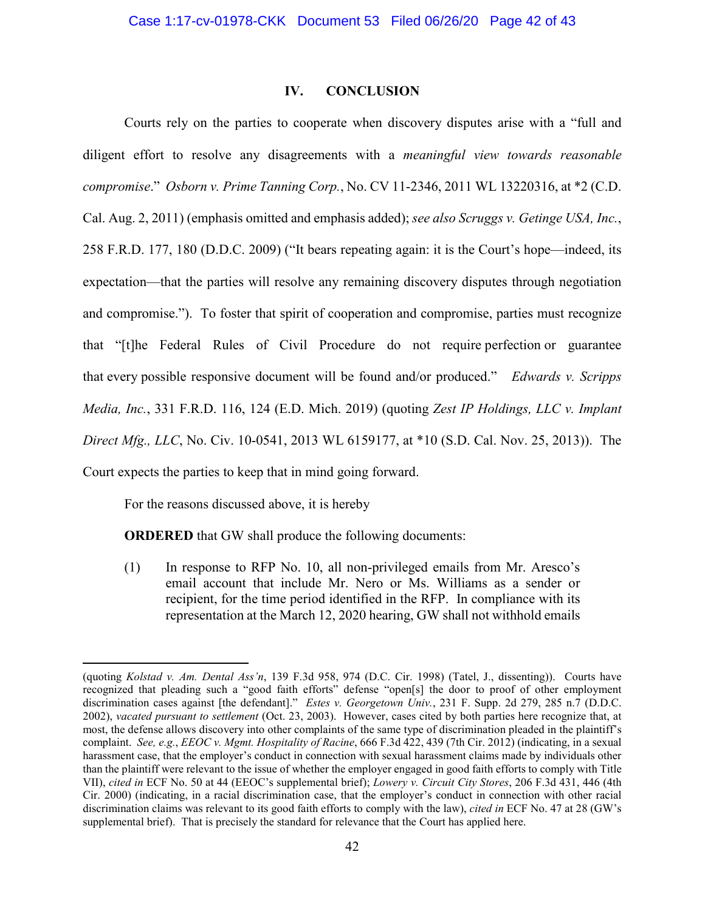# **IV. CONCLUSION**

Courts rely on the parties to cooperate when discovery disputes arise with a "full and diligent effort to resolve any disagreements with a *meaningful view towards reasonable compromise*." *Osborn v. Prime Tanning Corp.*, No. CV 11-2346, 2011 WL 13220316, at \*2 (C.D. Cal. Aug. 2, 2011) (emphasis omitted and emphasis added); *see also Scruggs v. Getinge USA, Inc.*, 258 F.R.D. 177, 180 (D.D.C. 2009) ("It bears repeating again: it is the Court's hope—indeed, its expectation—that the parties will resolve any remaining discovery disputes through negotiation and compromise."). To foster that spirit of cooperation and compromise, parties must recognize that "[t]he Federal Rules of Civil Procedure do not require perfection or guarantee that every possible responsive document will be found and/or produced." *Edwards v. Scripps Media, Inc.*, 331 F.R.D. 116, 124 (E.D. Mich. 2019) (quoting *Zest IP Holdings, LLC v. Implant Direct Mfg., LLC*, No. Civ. 10-0541, 2013 WL 6159177, at \*10 (S.D. Cal. Nov. 25, 2013)). The Court expects the parties to keep that in mind going forward.

For the reasons discussed above, it is hereby

 $\overline{a}$ 

**ORDERED** that GW shall produce the following documents:

(1) In response to RFP No. 10, all non-privileged emails from Mr. Aresco's email account that include Mr. Nero or Ms. Williams as a sender or recipient, for the time period identified in the RFP. In compliance with its representation at the March 12, 2020 hearing, GW shall not withhold emails

<sup>(</sup>quoting *Kolstad v. Am. Dental Ass'n*, 139 F.3d 958, 974 (D.C. Cir. 1998) (Tatel, J., dissenting)). Courts have recognized that pleading such a "good faith efforts" defense "open[s] the door to proof of other employment discrimination cases against [the defendant]." *Estes v. Georgetown Univ.*, 231 F. Supp. 2d 279, 285 n.7 (D.D.C. 2002), *vacated pursuant to settlement* (Oct. 23, 2003). However, cases cited by both parties here recognize that, at most, the defense allows discovery into other complaints of the same type of discrimination pleaded in the plaintiff's complaint. *See, e.g.*, *EEOC v. Mgmt. Hospitality of Racine*, 666 F.3d 422, 439 (7th Cir. 2012) (indicating, in a sexual harassment case, that the employer's conduct in connection with sexual harassment claims made by individuals other than the plaintiff were relevant to the issue of whether the employer engaged in good faith efforts to comply with Title VII), *cited in* ECF No. 50 at 44 (EEOC's supplemental brief); *Lowery v. Circuit City Stores*, 206 F.3d 431, 446 (4th Cir. 2000) (indicating, in a racial discrimination case, that the employer's conduct in connection with other racial discrimination claims was relevant to its good faith efforts to comply with the law), *cited in* ECF No. 47 at 28 (GW's supplemental brief). That is precisely the standard for relevance that the Court has applied here.